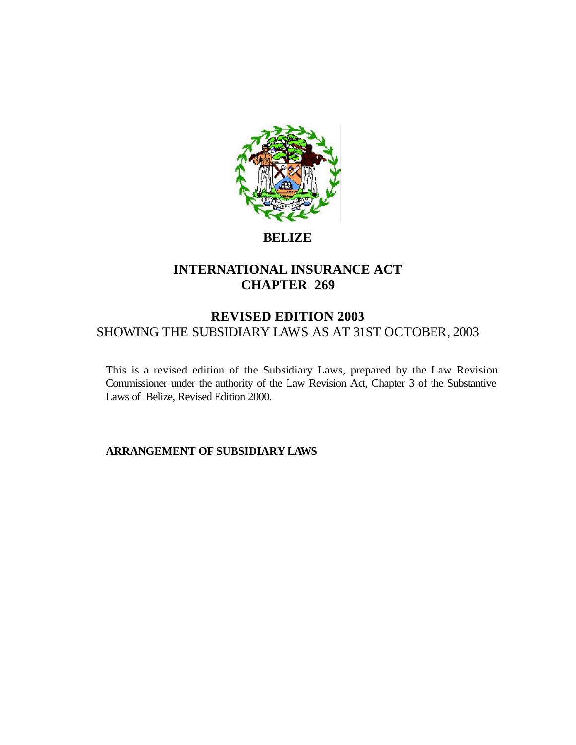

# **BELIZE**

# **INTERNATIONAL INSURANCE ACT CHAPTER 269**

# **REVISED EDITION 2003** SHOWING THE SUBSIDIARY LAWS AS AT 31ST OCTOBER, 2003

This is a revised edition of the Subsidiary Laws, prepared by the Law Revision Commissioner under the authority of the Law Revision Act, Chapter 3 of the Substantive Laws of Belize, Revised Edition 2000.

**ARRANGEMENT OF SUBSIDIARY LAWS**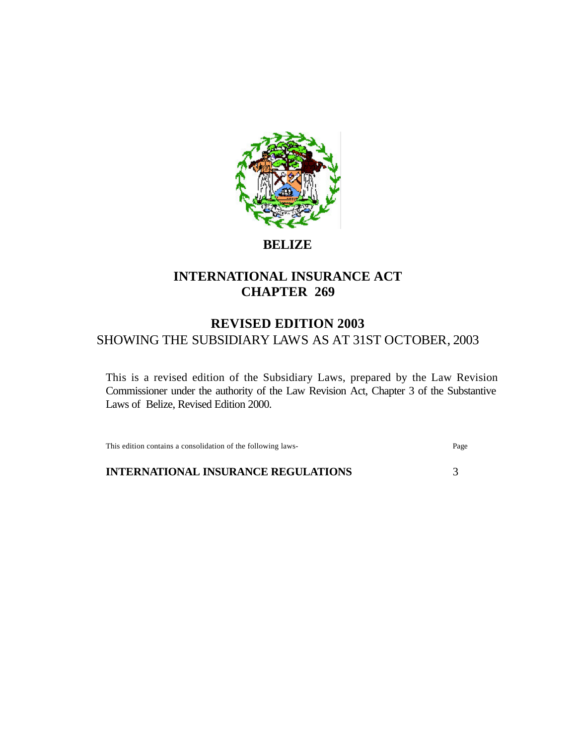

**BELIZE**

# **INTERNATIONAL INSURANCE ACT CHAPTER 269**

# **REVISED EDITION 2003** SHOWING THE SUBSIDIARY LAWS AS AT 31ST OCTOBER, 2003

This is a revised edition of the Subsidiary Laws, prepared by the Law Revision Commissioner under the authority of the Law Revision Act, Chapter 3 of the Substantive Laws of Belize, Revised Edition 2000.

This edition contains a consolidation of the following laws- Page

**INTERNATIONAL INSURANCE REGULATIONS** 3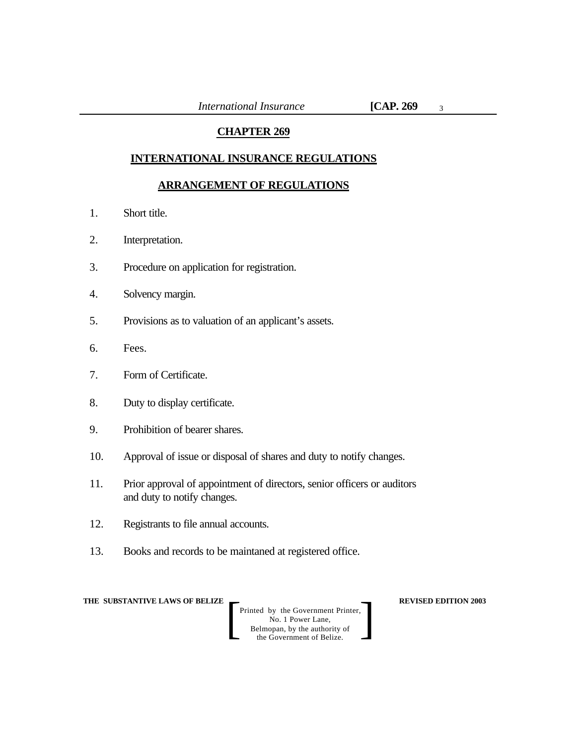3

# **CHAPTER 269**

### **INTERNATIONAL INSURANCE REGULATIONS**

# **ARRANGEMENT OF REGULATIONS**

- 1. Short title.
- 2. Interpretation.
- 3. Procedure on application for registration.
- 4. Solvency margin.
- 5. Provisions as to valuation of an applicant's assets.
- 6. Fees.
- 7. Form of Certificate.
- 8. Duty to display certificate.
- 9. Prohibition of bearer shares.
- 10. Approval of issue or disposal of shares and duty to notify changes.
- 11. Prior approval of appointment of directors, senior officers or auditors and duty to notify changes.
- 12. Registrants to file annual accounts.
- 13. Books and records to be maintaned at registered office.

**THE SUBSTANTIVE LAWS OF BELIZE REVISED EDITION 2003**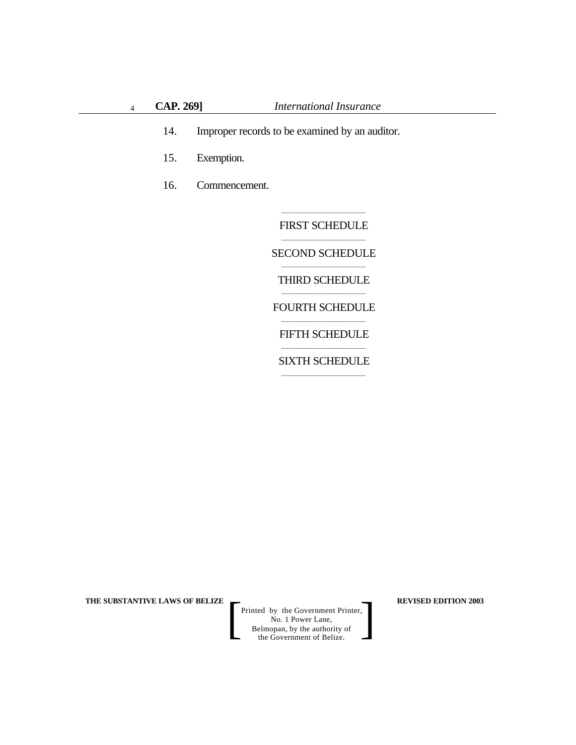- 14. Improper records to be examined by an auditor.
- 15. Exemption.
- 16. Commencement.

\_\_\_\_\_\_\_\_\_\_\_\_\_\_\_\_\_\_\_\_\_\_\_\_ FIRST SCHEDULE \_\_\_\_\_\_\_\_\_\_\_\_\_\_\_\_\_\_\_\_\_\_\_\_

SECOND SCHEDULE \_\_\_\_\_\_\_\_\_\_\_\_\_\_\_\_\_\_\_\_\_\_\_\_

THIRD SCHEDULE \_\_\_\_\_\_\_\_\_\_\_\_\_\_\_\_\_\_\_\_\_\_\_\_

FOURTH SCHEDULE \_\_\_\_\_\_\_\_\_\_\_\_\_\_\_\_\_\_\_\_\_\_\_\_

FIFTH SCHEDULE \_\_\_\_\_\_\_\_\_\_\_\_\_\_\_\_\_\_\_\_\_\_\_\_

SIXTH SCHEDULE \_\_\_\_\_\_\_\_\_\_\_\_\_\_\_\_\_\_\_\_\_\_\_\_

**THE SUBSTANTIVE LAWS OF BELIZE REVISED EDITION 2003**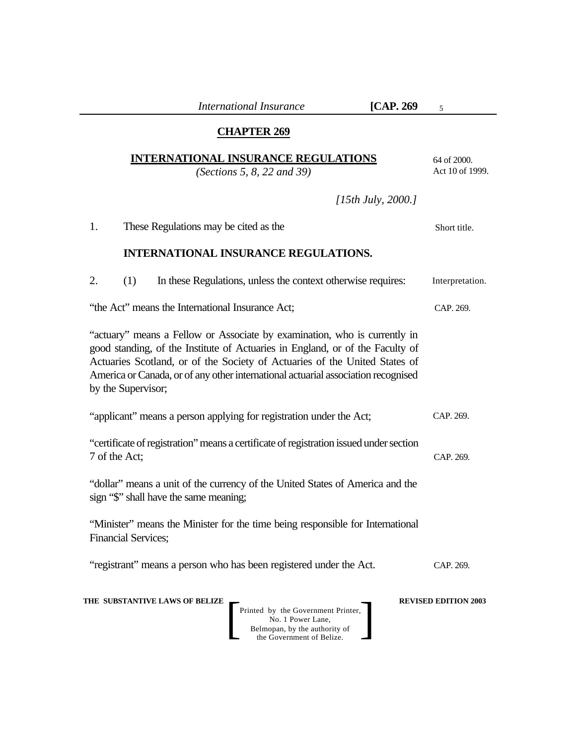|    |                            |                                                                     | <b>International Insurance</b> | [CAP. $269$                                                                                                                                                                                                                                      | 5                              |
|----|----------------------------|---------------------------------------------------------------------|--------------------------------|--------------------------------------------------------------------------------------------------------------------------------------------------------------------------------------------------------------------------------------------------|--------------------------------|
|    |                            |                                                                     | <b>CHAPTER 269</b>             |                                                                                                                                                                                                                                                  |                                |
|    |                            | <b>INTERNATIONAL INSURANCE REGULATIONS</b>                          | (Sections 5, 8, 22 and 39)     |                                                                                                                                                                                                                                                  | 64 of 2000.<br>Act 10 of 1999. |
|    |                            |                                                                     |                                | [15th July, 2000.]                                                                                                                                                                                                                               |                                |
| 1. |                            | These Regulations may be cited as the                               |                                |                                                                                                                                                                                                                                                  | Short title.                   |
|    |                            | <b>INTERNATIONAL INSURANCE REGULATIONS.</b>                         |                                |                                                                                                                                                                                                                                                  |                                |
| 2. | (1)                        |                                                                     |                                | In these Regulations, unless the context otherwise requires:                                                                                                                                                                                     | Interpretation.                |
|    |                            | "the Act" means the International Insurance Act;                    |                                |                                                                                                                                                                                                                                                  | CAP. 269.                      |
|    | by the Supervisor;         |                                                                     |                                | good standing, of the Institute of Actuaries in England, or of the Faculty of<br>Actuaries Scotland, or of the Society of Actuaries of the United States of<br>America or Canada, or of any other international actuarial association recognised |                                |
|    |                            | "applicant" means a person applying for registration under the Act; |                                |                                                                                                                                                                                                                                                  | CAP. 269.                      |
|    | 7 of the Act;              |                                                                     |                                | "certificate of registration" means a certificate of registration issued under section                                                                                                                                                           | CAP. 269.                      |
|    |                            | sign "\$" shall have the same meaning;                              |                                | "dollar" means a unit of the currency of the United States of America and the                                                                                                                                                                    |                                |
|    | <b>Financial Services;</b> |                                                                     |                                | "Minister" means the Minister for the time being responsible for International                                                                                                                                                                   |                                |
|    |                            | "registrant" means a person who has been registered under the Act.  |                                |                                                                                                                                                                                                                                                  | CAP. 269.                      |
|    |                            | THE SUBSTANTIVE LAWS OF BELIZE                                      |                                |                                                                                                                                                                                                                                                  | <b>REVISED EDITION 2003</b>    |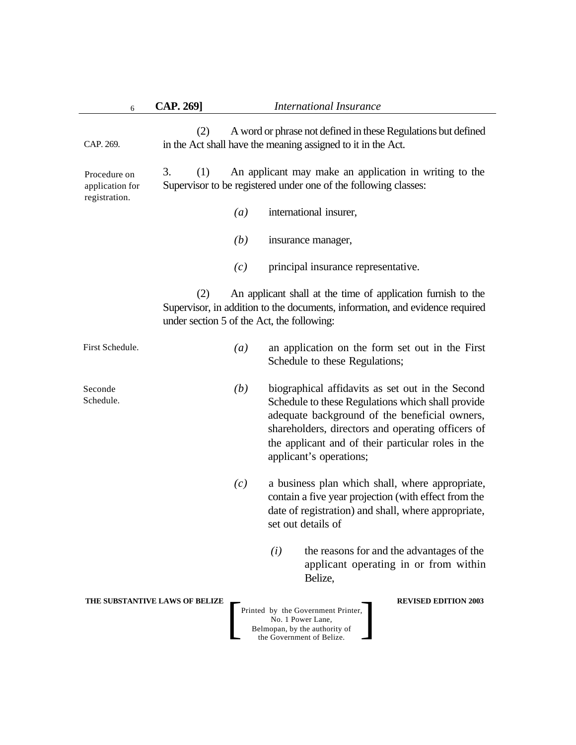| 6                                                | <b>CAP. 269]</b>               |                                                                                                                           | <b>International Insurance</b>                                                                                                                                                                                                                                                               |
|--------------------------------------------------|--------------------------------|---------------------------------------------------------------------------------------------------------------------------|----------------------------------------------------------------------------------------------------------------------------------------------------------------------------------------------------------------------------------------------------------------------------------------------|
| CAP. 269.                                        | (2)                            |                                                                                                                           | A word or phrase not defined in these Regulations but defined<br>in the Act shall have the meaning assigned to it in the Act.                                                                                                                                                                |
| Procedure on<br>application for<br>registration. | 3.<br>(1)                      | An applicant may make an application in writing to the<br>Supervisor to be registered under one of the following classes: |                                                                                                                                                                                                                                                                                              |
|                                                  |                                | $\left( a\right)$                                                                                                         | international insurer,                                                                                                                                                                                                                                                                       |
|                                                  |                                | (b)                                                                                                                       | insurance manager,                                                                                                                                                                                                                                                                           |
|                                                  |                                | (c)                                                                                                                       | principal insurance representative.                                                                                                                                                                                                                                                          |
|                                                  | (2)                            |                                                                                                                           | An applicant shall at the time of application furnish to the<br>Supervisor, in addition to the documents, information, and evidence required<br>under section 5 of the Act, the following:                                                                                                   |
| First Schedule.                                  |                                | (a)                                                                                                                       | an application on the form set out in the First<br>Schedule to these Regulations;                                                                                                                                                                                                            |
| Seconde<br>Schedule.                             |                                | (b)                                                                                                                       | biographical affidavits as set out in the Second<br>Schedule to these Regulations which shall provide<br>adequate background of the beneficial owners,<br>shareholders, directors and operating officers of<br>the applicant and of their particular roles in the<br>applicant's operations; |
|                                                  |                                | (c)                                                                                                                       | a business plan which shall, where appropriate,<br>contain a five year projection (with effect from the<br>date of registration) and shall, where appropriate,<br>set out details of                                                                                                         |
|                                                  |                                |                                                                                                                           | the reasons for and the advantages of the<br>(i)<br>applicant operating in or from within<br>Belize,                                                                                                                                                                                         |
|                                                  | THE SUBSTANTIVE LAWS OF BELIZE |                                                                                                                           | <b>REVISED EDITION 2003</b><br>Printed by the Government Printer,<br>No. 1 Power Lane,<br>Belmopan, by the authority of<br>the Government of Belize.                                                                                                                                         |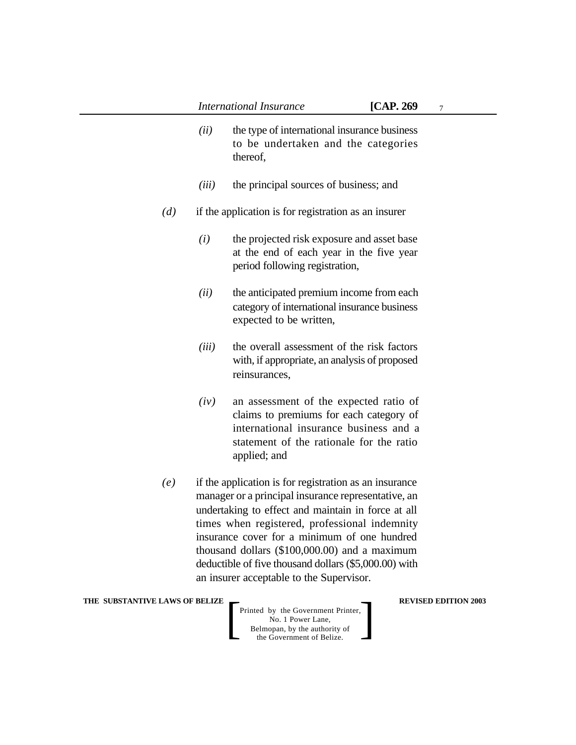7

- *International Insurance* **[CAP. 269** *(ii)* the type of international insurance business to be undertaken and the categories thereof, *(iii)* the principal sources of business; and *(d)* if the application is for registration as an insurer *(i)* the projected risk exposure and asset base at the end of each year in the five year period following registration, *(ii)* the anticipated premium income from each category of international insurance business expected to be written, *(iii)* the overall assessment of the risk factors with, if appropriate, an analysis of proposed reinsurances, *(iv)* an assessment of the expected ratio of claims to premiums for each category of international insurance business and a statement of the rationale for the ratio applied; and *(e)* if the application is for registration as an insurance manager or a principal insurance representative, an
	- undertaking to effect and maintain in force at all times when registered, professional indemnity insurance cover for a minimum of one hundred thousand dollars (\$100,000.00) and a maximum deductible of five thousand dollars (\$5,000.00) with an insurer acceptable to the Supervisor.

#### **THE SUBSTANTIVE LAWS OF BELIZE REVISED EDITION 2003**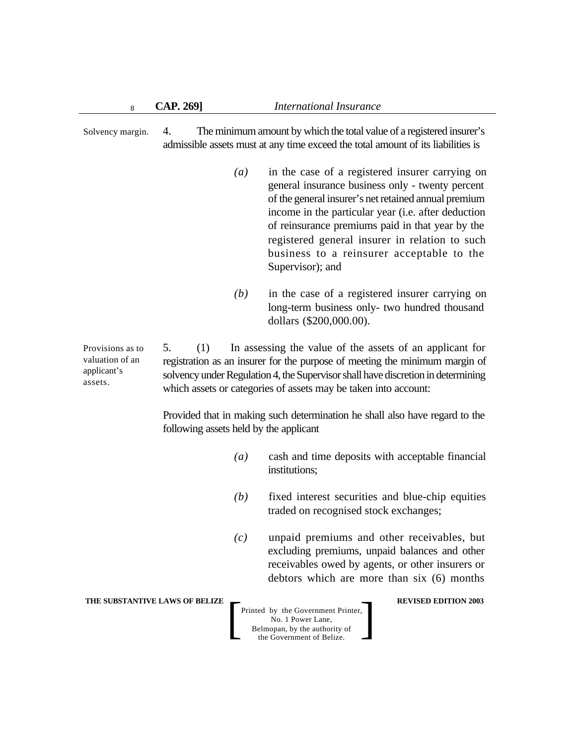4. The minimum amount by which the total value of a registered insurer's admissible assets must at any time exceed the total amount of its liabilities is Solvency margin.

- *(a)* in the case of a registered insurer carrying on general insurance business only - twenty percent of the general insurer's net retained annual premium income in the particular year (i.e. after deduction of reinsurance premiums paid in that year by the registered general insurer in relation to such business to a reinsurer acceptable to the Supervisor); and
- *(b)* in the case of a registered insurer carrying on long-term business only- two hundred thousand dollars (\$200,000.00).

5. (1) In assessing the value of the assets of an applicant for registration as an insurer for the purpose of meeting the minimum margin of solvency under Regulation 4, the Supervisor shall have discretion in determining which assets or categories of assets may be taken into account: Provisions as to valuation of an applicant's assets.

> Provided that in making such determination he shall also have regard to the following assets held by the applicant

- *(a)* cash and time deposits with acceptable financial institutions;
- *(b)* fixed interest securities and blue-chip equities traded on recognised stock exchanges;
- *(c)* unpaid premiums and other receivables, but excluding premiums, unpaid balances and other receivables owed by agents, or other insurers or debtors which are more than six (6) months

**THE SUBSTANTIVE LAWS OF BELIZE REVISED EDITION 2003**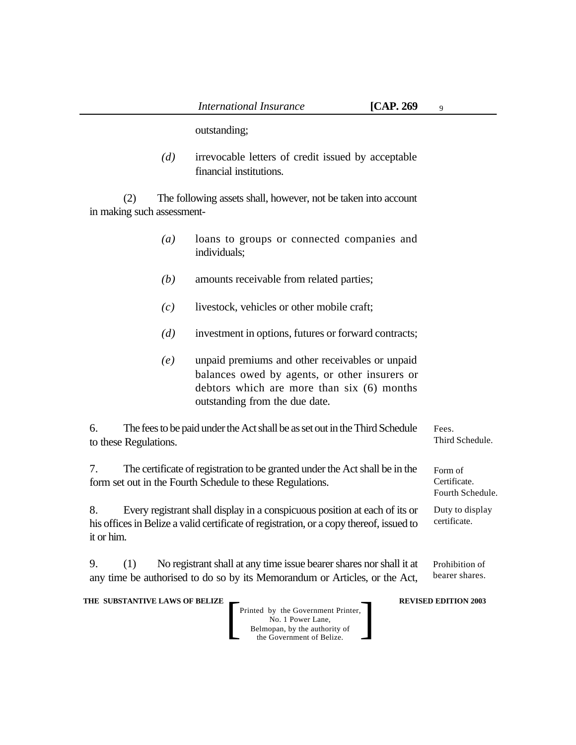9

outstanding;

*(d)* irrevocable letters of credit issued by acceptable financial institutions.

(2) The following assets shall, however, not be taken into account in making such assessment-

*(a)* loans to groups or connected companies and individuals; *(b)* amounts receivable from related parties; *(c)* livestock, vehicles or other mobile craft; *(d)* investment in options, futures or forward contracts; *(e)* unpaid premiums and other receivables or unpaid balances owed by agents, or other insurers or debtors which are more than six (6) months outstanding from the due date. 6. The fees to be paid under the Act shall be as set out in the Third Schedule to these Regulations. 7. The certificate of registration to be granted under the Act shall be in the form set out in the Fourth Schedule to these Regulations. Fees. Third Schedule. Form of Certificate.

8. Every registrant shall display in a conspicuous position at each of its or his offices in Belize a valid certificate of registration, or a copy thereof, issued to it or him.

9. (1) No registrant shall at any time issue bearer shares nor shall it at any time be authorised to do so by its Memorandum or Articles, or the Act, Prohibition of bearer shares.

#### **THE SUBSTANTIVE LAWS OF BELIZE REVISED EDITION 2003**

Printed by the Government Printer, No. 1 Power Lane, Belmopan, by the authority of Printed by the Government Printer,<br>
No. 1 Power Lane,<br>
Belmopan, by the authority of<br>
the Government of Belize.

Fourth Schedule.

Duty to display certificate.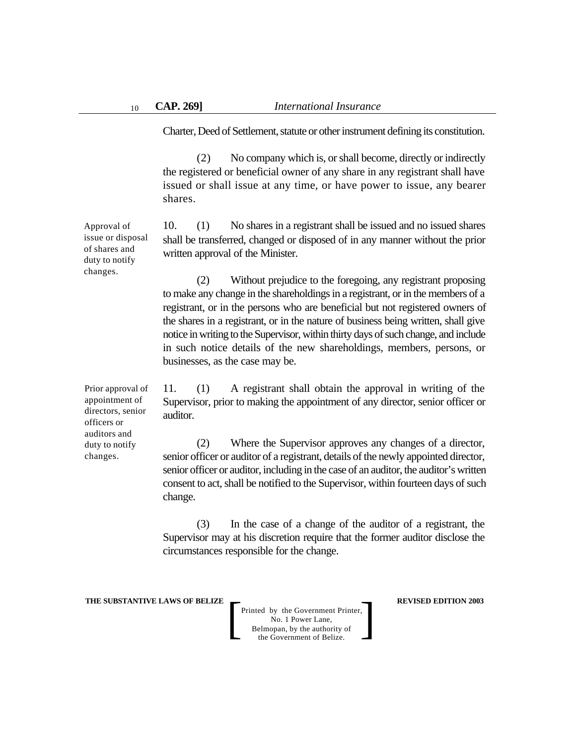Charter, Deed of Settlement, statute or other instrument defining its constitution.

(2) No company which is, or shall become, directly or indirectly the registered or beneficial owner of any share in any registrant shall have issued or shall issue at any time, or have power to issue, any bearer shares.

10. (1) No shares in a registrant shall be issued and no issued shares shall be transferred, changed or disposed of in any manner without the prior written approval of the Minister.

(2) Without prejudice to the foregoing, any registrant proposing to make any change in the shareholdings in a registrant, or in the members of a registrant, or in the persons who are beneficial but not registered owners of the shares in a registrant, or in the nature of business being written, shall give notice in writing to the Supervisor, within thirty days of such change, and include in such notice details of the new shareholdings, members, persons, or businesses, as the case may be.

Prior approval of appointment of directors, senior officers or auditors and duty to notify changes.

Approval of issue or disposal of shares and duty to notify changes.

> 11. (1) A registrant shall obtain the approval in writing of the Supervisor, prior to making the appointment of any director, senior officer or auditor.

> (2) Where the Supervisor approves any changes of a director, senior officer or auditor of a registrant, details of the newly appointed director, senior officer or auditor, including in the case of an auditor, the auditor's written consent to act, shall be notified to the Supervisor, within fourteen days of such change.

> (3) In the case of a change of the auditor of a registrant, the Supervisor may at his discretion require that the former auditor disclose the circumstances responsible for the change.

**THE SUBSTANTIVE LAWS OF BELIZE REVISED EDITION 2003**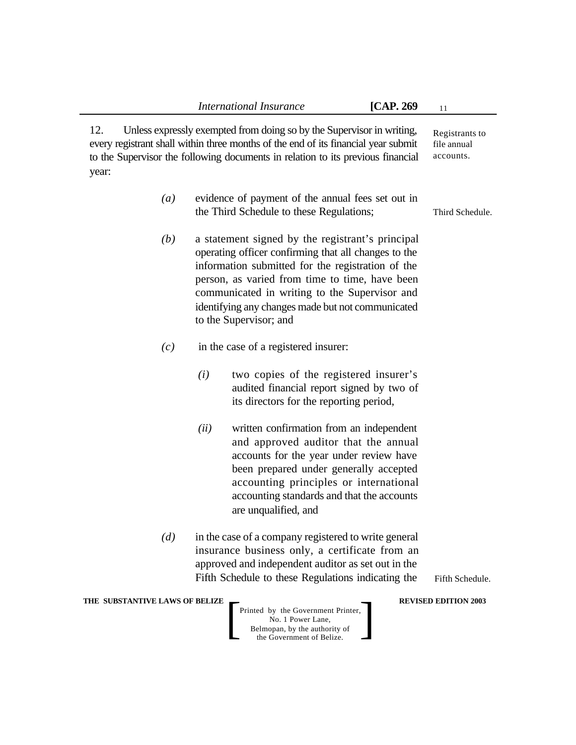|                                                                                                                                                                                                                                                                | <b>International Insurance</b>                                                                                                                                                                                                                                                                                                                  | [ $CAP. 269$ | 11                                         |
|----------------------------------------------------------------------------------------------------------------------------------------------------------------------------------------------------------------------------------------------------------------|-------------------------------------------------------------------------------------------------------------------------------------------------------------------------------------------------------------------------------------------------------------------------------------------------------------------------------------------------|--------------|--------------------------------------------|
| 12.<br>Unless expressly exempted from doing so by the Supervisor in writing,<br>every registrant shall within three months of the end of its financial year submit<br>to the Supervisor the following documents in relation to its previous financial<br>year: |                                                                                                                                                                                                                                                                                                                                                 |              | Registrants to<br>file annual<br>accounts. |
| $\left(a\right)$                                                                                                                                                                                                                                               | evidence of payment of the annual fees set out in<br>the Third Schedule to these Regulations;                                                                                                                                                                                                                                                   |              | Third Schedule.                            |
| (b)                                                                                                                                                                                                                                                            | a statement signed by the registrant's principal<br>operating officer confirming that all changes to the<br>information submitted for the registration of the<br>person, as varied from time to time, have been<br>communicated in writing to the Supervisor and<br>identifying any changes made but not communicated<br>to the Supervisor; and |              |                                            |
| (c)                                                                                                                                                                                                                                                            | in the case of a registered insurer:                                                                                                                                                                                                                                                                                                            |              |                                            |
|                                                                                                                                                                                                                                                                | two copies of the registered insurer's<br>(i)<br>audited financial report signed by two of<br>its directors for the reporting period,                                                                                                                                                                                                           |              |                                            |
|                                                                                                                                                                                                                                                                | (ii)<br>written confirmation from an independent<br>and approved auditor that the annual<br>accounts for the year under review have<br>been prepared under generally accepted<br>accounting principles or international<br>accounting standards and that the accounts<br>are unqualified, and                                                   |              |                                            |
| (d)                                                                                                                                                                                                                                                            | in the case of a company registered to write general<br>insurance business only, a certificate from an<br>approved and independent auditor as set out in the<br>Fifth Schedule to these Regulations indicating the                                                                                                                              |              | Fifth Schedule.                            |
| THE SUBSTANTIVE LAWS OF BELIZE                                                                                                                                                                                                                                 | Printed by the Government Printer,<br>No. 1 Power Lane,<br>Belmopan, by the authority of<br>the Government of Belize.                                                                                                                                                                                                                           |              | <b>REVISED EDITION 2003</b>                |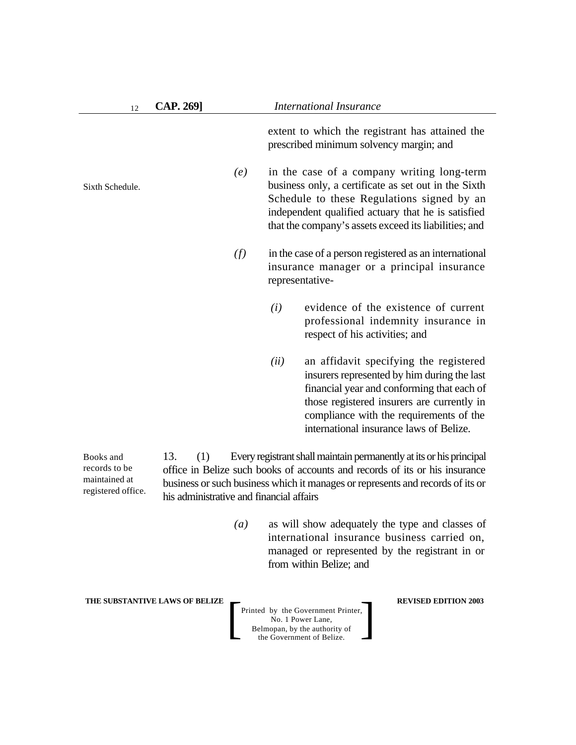| 12              | <b>CAP. 269]</b> |     |                 | <b>International Insurance</b>                                                                                                                                                                                                                                  |
|-----------------|------------------|-----|-----------------|-----------------------------------------------------------------------------------------------------------------------------------------------------------------------------------------------------------------------------------------------------------------|
|                 |                  |     |                 | extent to which the registrant has attained the<br>prescribed minimum solvency margin; and                                                                                                                                                                      |
| Sixth Schedule. |                  | (e) |                 | in the case of a company writing long-term<br>business only, a certificate as set out in the Sixth<br>Schedule to these Regulations signed by an<br>independent qualified actuary that he is satisfied<br>that the company's assets exceed its liabilities; and |
|                 |                  | (f) | representative- | in the case of a person registered as an international<br>insurance manager or a principal insurance                                                                                                                                                            |
|                 |                  |     | (i)             | evidence of the existence of current<br>professional indemnity insurance in<br>respect of his activities; and                                                                                                                                                   |
|                 |                  |     | (ii)            | an affidavit specifying the registered<br>insurers represented by him during the last<br>financial year and conforming that each of<br>those registered insurers are currently in<br>compliance with the requirements of the                                    |

13. (1) Every registrant shall maintain permanently at its or his principal office in Belize such books of accounts and records of its or his insurance business or such business which it manages or represents and records of its or his administrative and financial affairs registered office.

> *(a)* as will show adequately the type and classes of international insurance business carried on, managed or represented by the registrant in or from within Belize; and

international insurance laws of Belize.

**THE SUBSTANTIVE LAWS OF BELIZE REVISED EDITION 2003**

Books and records to be maintained at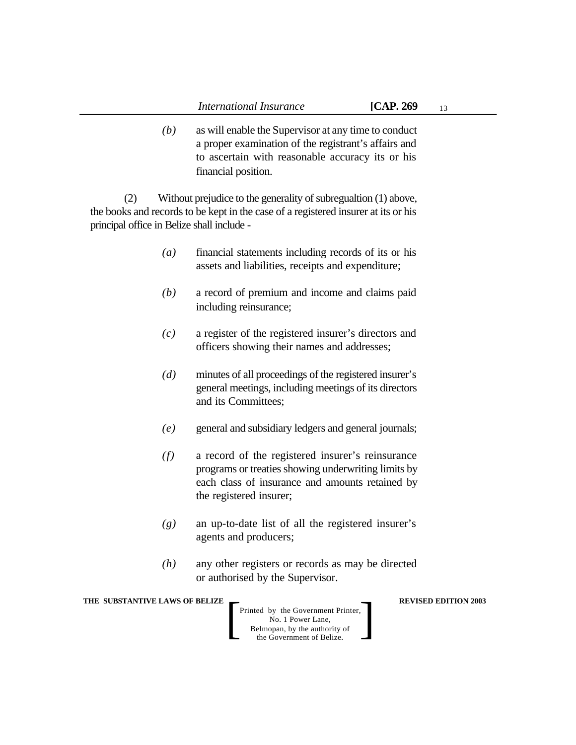13

*(b)* as will enable the Supervisor at any time to conduct a proper examination of the registrant's affairs and to ascertain with reasonable accuracy its or his financial position.

(2) Without prejudice to the generality of subregualtion (1) above, the books and records to be kept in the case of a registered insurer at its or his principal office in Belize shall include -

- *(a)* financial statements including records of its or his assets and liabilities, receipts and expenditure;
- *(b)* a record of premium and income and claims paid including reinsurance;
- *(c)* a register of the registered insurer's directors and officers showing their names and addresses;
- *(d)* minutes of all proceedings of the registered insurer's general meetings, including meetings of its directors and its Committees;
- *(e)* general and subsidiary ledgers and general journals;
- *(f)* a record of the registered insurer's reinsurance programs or treaties showing underwriting limits by each class of insurance and amounts retained by the registered insurer;
- *(g)* an up-to-date list of all the registered insurer's agents and producers;
- *(h)* any other registers or records as may be directed or authorised by the Supervisor.

**THE SUBSTANTIVE LAWS OF BELIZE REVISED EDITION 2003**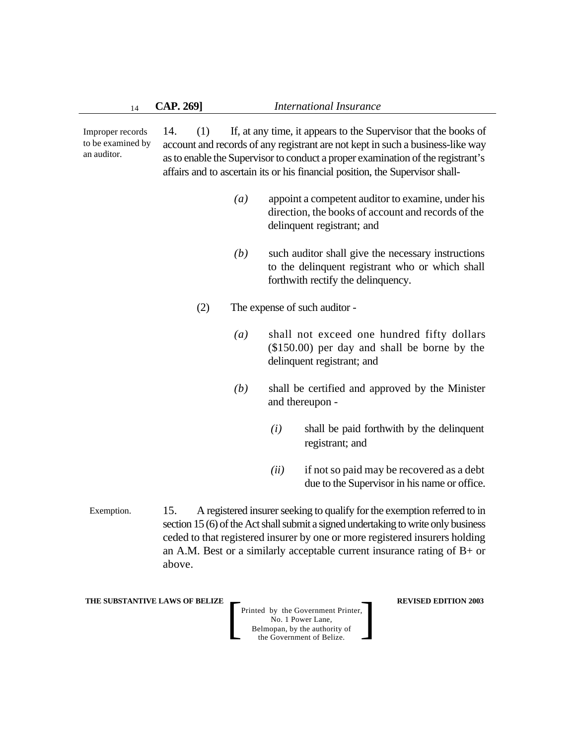Improper records to be examined by an auditor.

14. (1) If, at any time, it appears to the Supervisor that the books of account and records of any registrant are not kept in such a business-like way as to enable the Supervisor to conduct a proper examination of the registrant's affairs and to ascertain its or his financial position, the Supervisor shall-

- *(a)* appoint a competent auditor to examine, under his direction, the books of account and records of the delinquent registrant; and
- *(b)* such auditor shall give the necessary instructions to the delinquent registrant who or which shall forthwith rectify the delinquency.
- (2) The expense of such auditor
	- *(a)* shall not exceed one hundred fifty dollars (\$150.00) per day and shall be borne by the delinquent registrant; and
	- *(b)* shall be certified and approved by the Minister and thereupon -
		- *(i)* shall be paid forthwith by the delinquent registrant; and
		- *(ii)* if not so paid may be recovered as a debt due to the Supervisor in his name or office.
- 15. A registered insurer seeking to qualify for the exemption referred to in section 15 (6) of the Act shall submit a signed undertaking to write only business ceded to that registered insurer by one or more registered insurers holding an A.M. Best or a similarly acceptable current insurance rating of B+ or above. Exemption.

**THE SUBSTANTIVE LAWS OF BELIZE REVISED EDITION 2003**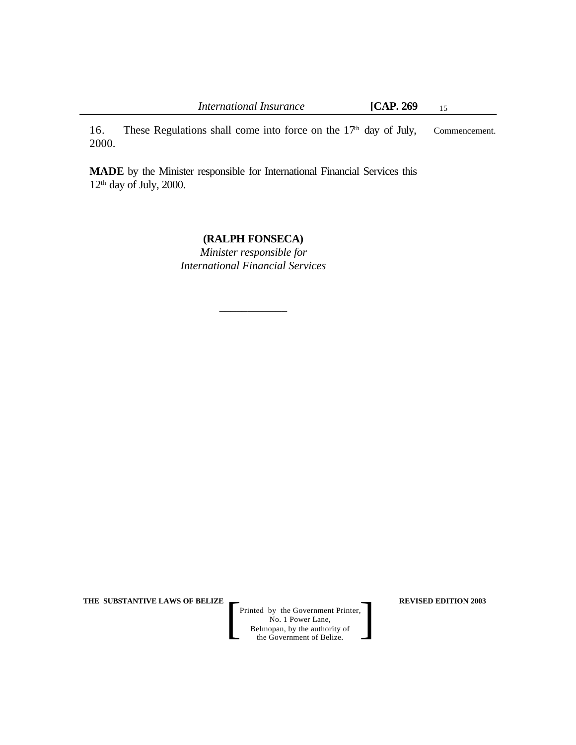16. These Regulations shall come into force on the  $17<sup>th</sup>$  day of July, 2000. Commencement.

**MADE** by the Minister responsible for International Financial Services this 12th day of July, 2000.

#### **(RALPH FONSECA)**

*Minister responsible for International Financial Services*

*\_\_\_\_\_\_\_\_\_\_\_\_*

**THE SUBSTANTIVE LAWS OF BELIZE**  $\qquad$  **REVISED EDITION 2003**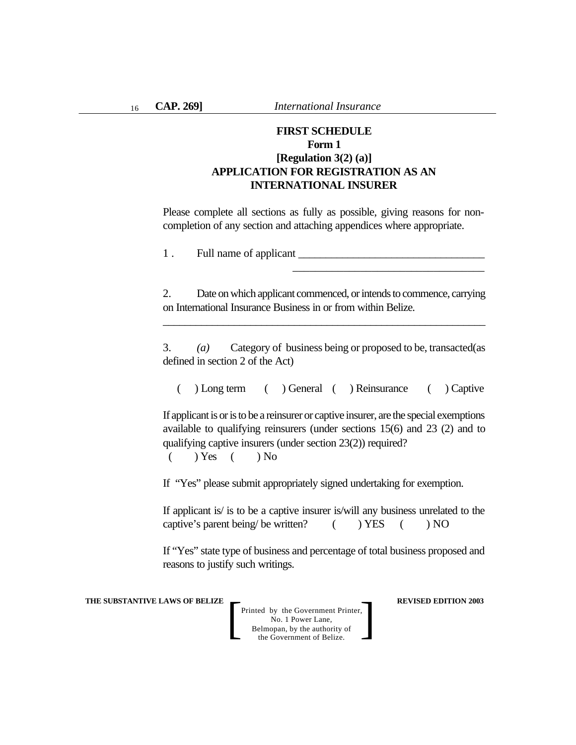# **FIRST SCHEDULE Form 1 [Regulation 3(2) (a)] APPLICATION FOR REGISTRATION AS AN INTERNATIONAL INSURER**

Please complete all sections as fully as possible, giving reasons for noncompletion of any section and attaching appendices where appropriate.

1 . Full name of applicant \_\_\_\_\_\_\_\_\_\_\_\_\_\_\_\_\_\_\_\_\_\_\_\_\_\_\_\_\_\_\_\_\_\_

2. Date on which applicant commenced, or intends to commence, carrying on International Insurance Business in or from within Belize.

\_\_\_\_\_\_\_\_\_\_\_\_\_\_\_\_\_\_\_\_\_\_\_\_\_\_\_\_\_\_\_\_\_\_\_\_\_\_\_\_\_\_\_\_\_\_\_\_\_\_\_\_\_\_\_\_\_\_\_

\_\_\_\_\_\_\_\_\_\_\_\_\_\_\_\_\_\_\_\_\_\_\_\_\_\_\_\_\_\_\_\_\_\_

3. *(a)* Category of business being or proposed to be, transacted(as defined in section 2 of the Act)

( ) Long term ( ) General ( ) Reinsurance ( ) Captive

If applicant is or is to be a reinsurer or captive insurer, are the special exemptions available to qualifying reinsurers (under sections 15(6) and 23 (2) and to qualifying captive insurers (under section 23(2)) required?

 $($   $)$  Yes  $($   $)$  No

If "Yes" please submit appropriately signed undertaking for exemption.

If applicant is/ is to be a captive insurer is/will any business unrelated to the captive's parent being/ be written?  $($   $)$  YES  $($   $)$  NO

If "Yes" state type of business and percentage of total business proposed and reasons to justify such writings.

**THE SUBSTANTIVE LAWS OF BELIZE REVISED EDITION 2003**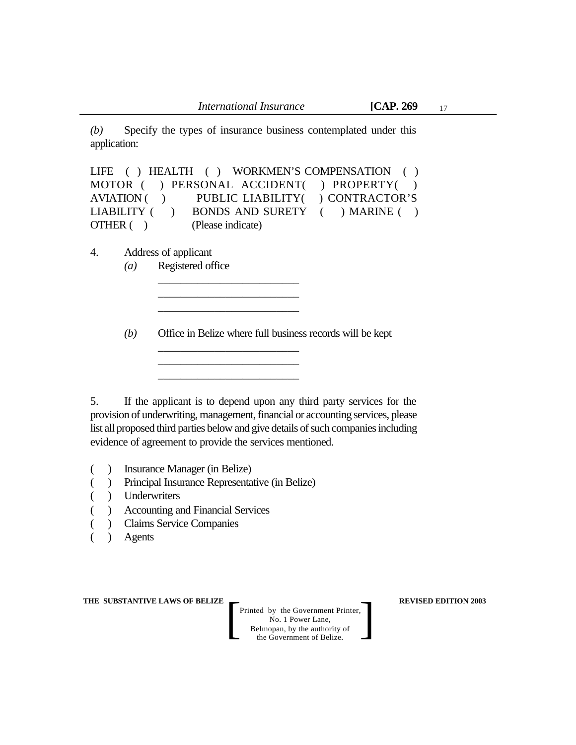*(b)* Specify the types of insurance business contemplated under this application:

LIFE ( ) HEALTH ( ) WORKMEN'S COMPENSATION ( ) MOTOR ( ) PERSONAL ACCIDENT( ) PROPERTY( ) AVIATION ( ) PUBLIC LIABILITY ( ) CONTRACTOR'S LIABILITY ( ) BONDS AND SURETY ( ) MARINE ( ) OTHER ( ) (Please indicate)

- 4. Address of applicant
	- *(a)* Registered office

*(b)* Office in Belize where full business records will be kept

\_\_\_\_\_\_\_\_\_\_\_\_\_\_\_\_\_\_\_\_\_\_\_\_\_ \_\_\_\_\_\_\_\_\_\_\_\_\_\_\_\_\_\_\_\_\_\_\_\_\_ \_\_\_\_\_\_\_\_\_\_\_\_\_\_\_\_\_\_\_\_\_\_\_\_\_

\_\_\_\_\_\_\_\_\_\_\_\_\_\_\_\_\_\_\_\_\_\_\_\_\_ \_\_\_\_\_\_\_\_\_\_\_\_\_\_\_\_\_\_\_\_\_\_\_\_\_ \_\_\_\_\_\_\_\_\_\_\_\_\_\_\_\_\_\_\_\_\_\_\_\_\_

5. If the applicant is to depend upon any third party services for the provision of underwriting, management, financial or accounting services, please list all proposed third parties below and give details of such companies including evidence of agreement to provide the services mentioned.

- ( ) Insurance Manager (in Belize)
- ( ) Principal Insurance Representative (in Belize)
- ( ) Underwriters
- ( ) Accounting and Financial Services
- ( ) Claims Service Companies
- ( ) Agents

**THE SUBSTANTIVE LAWS OF BELIZE REVISED EDITION 2003**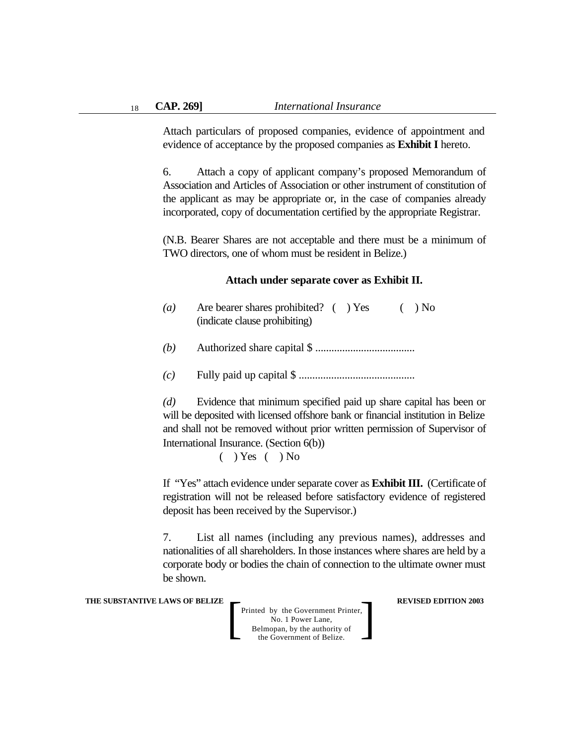Attach particulars of proposed companies, evidence of appointment and evidence of acceptance by the proposed companies as **Exhibit I** hereto.

6. Attach a copy of applicant company's proposed Memorandum of Association and Articles of Association or other instrument of constitution of the applicant as may be appropriate or, in the case of companies already incorporated, copy of documentation certified by the appropriate Registrar.

(N.B. Bearer Shares are not acceptable and there must be a minimum of TWO directors, one of whom must be resident in Belize.)

#### **Attach under separate cover as Exhibit II.**

| (a) | Are bearer shares prohibited? () Yes |  |  | $($ $)$ No |
|-----|--------------------------------------|--|--|------------|
|     | (indicate clause prohibiting)        |  |  |            |
|     |                                      |  |  |            |

- *(b)* Authorized share capital \$ .....................................
- *(c)* Fully paid up capital \$ ...........................................

*(d)* Evidence that minimum specified paid up share capital has been or will be deposited with licensed offshore bank or financial institution in Belize and shall not be removed without prior written permission of Supervisor of International Insurance. (Section 6(b))

 $( )$  Yes  $( )$  No

If "Yes" attach evidence under separate cover as **Exhibit III.** (Certificate of registration will not be released before satisfactory evidence of registered deposit has been received by the Supervisor.)

7. List all names (including any previous names), addresses and nationalities of all shareholders. In those instances where shares are held by a corporate body or bodies the chain of connection to the ultimate owner must be shown.

**THE SUBSTANTIVE LAWS OF BELIZE REVISED EDITION 2003**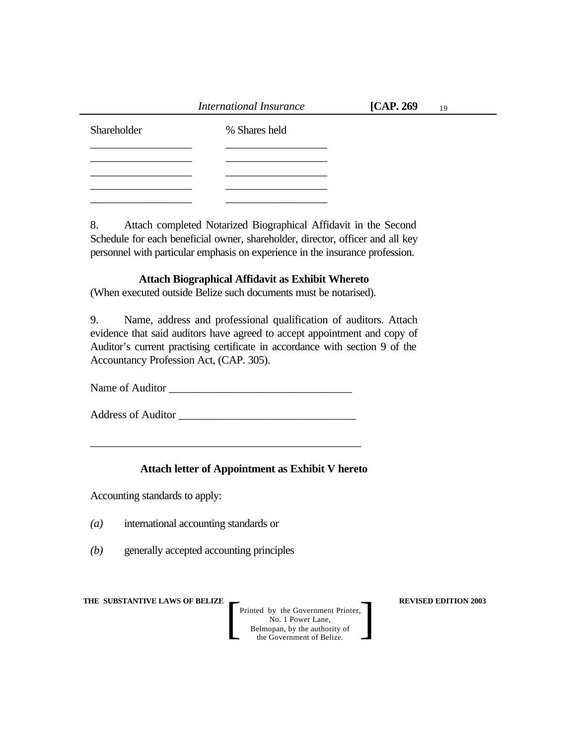*International Insurance* **[CAP. 269**

| Shareholder | % Shares held |
|-------------|---------------|
|             |               |
|             |               |
|             |               |

8. Attach completed Notarized Biographical Affidavit in the Second Schedule for each beneficial owner, shareholder, director, officer and all key personnel with particular emphasis on experience in the insurance profession.

### **Attach Biographical Affidavit as Exhibit Whereto**

(When executed outside Belize such documents must be notarised).

9. Name, address and professional qualification of auditors. Attach evidence that said auditors have agreed to accept appointment and copy of Auditor's current practising certificate in accordance with section 9 of the Accountancy Profession Act, (CAP. 305).

Name of Auditor \_\_\_\_\_\_\_\_\_\_\_\_\_\_\_\_\_\_\_\_\_\_\_\_\_\_\_\_\_\_\_\_\_

\_\_\_\_\_\_\_\_\_\_\_\_\_\_\_\_\_\_\_\_\_\_\_\_\_\_\_\_\_\_\_\_\_\_\_\_\_\_\_\_\_\_\_\_\_\_\_\_

Address of Auditor \_\_\_\_\_\_\_\_\_\_\_\_\_\_\_\_\_\_\_\_\_\_\_\_\_\_\_\_\_\_\_\_

# **Attach letter of Appointment as Exhibit V hereto**

Accounting standards to apply:

- *(a)* international accounting standards or
- *(b)* generally accepted accounting principles

**THE SUBSTANTIVE LAWS OF BELIZE REVISED EDITION 2003**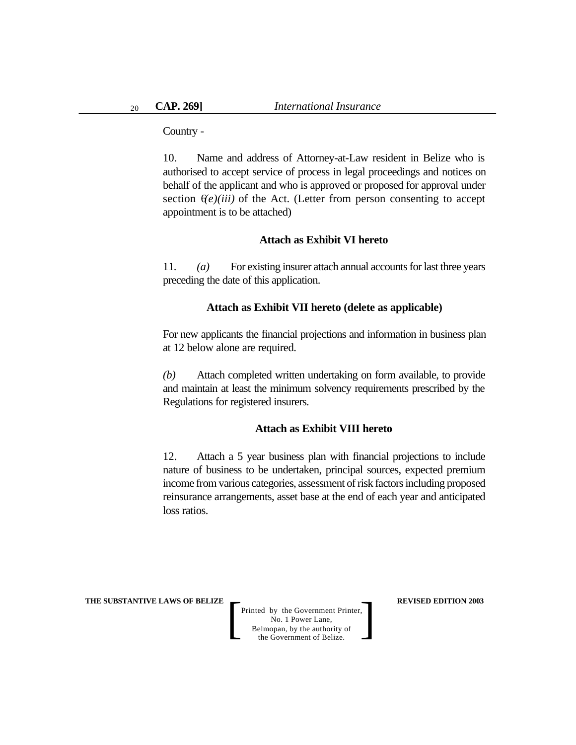Country -

10. Name and address of Attorney-at-Law resident in Belize who is authorised to accept service of process in legal proceedings and notices on behalf of the applicant and who is approved or proposed for approval under section  $(e)(iii)$  of the Act. (Letter from person consenting to accept appointment is to be attached)

#### **Attach as Exhibit VI hereto**

11. *(a)* For existing insurer attach annual accounts for last three years preceding the date of this application.

#### **Attach as Exhibit VII hereto (delete as applicable)**

For new applicants the financial projections and information in business plan at 12 below alone are required.

*(b)* Attach completed written undertaking on form available, to provide and maintain at least the minimum solvency requirements prescribed by the Regulations for registered insurers.

#### **Attach as Exhibit VIII hereto**

12. Attach a 5 year business plan with financial projections to include nature of business to be undertaken, principal sources, expected premium income from various categories, assessment of risk factors including proposed reinsurance arrangements, asset base at the end of each year and anticipated loss ratios.

**THE SUBSTANTIVE LAWS OF BELIZE REVISED EDITION 2003**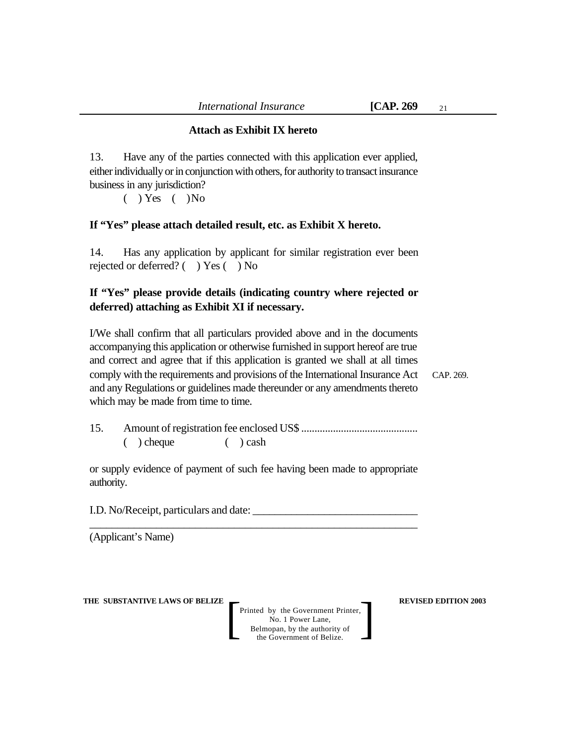#### **Attach as Exhibit IX hereto**

13. Have any of the parties connected with this application ever applied, either individually or in conjunction with others, for authority to transact insurance business in any jurisdiction?

 $( )$  Yes  $( )$  No

#### **If "Yes" please attach detailed result, etc. as Exhibit X hereto.**

14. Has any application by applicant for similar registration ever been rejected or deferred? ( ) Yes ( ) No

# **If "Yes" please provide details (indicating country where rejected or deferred) attaching as Exhibit XI if necessary.**

I/We shall confirm that all particulars provided above and in the documents accompanying this application or otherwise furnished in support hereof are true and correct and agree that if this application is granted we shall at all times comply with the requirements and provisions of the International Insurance Act and any Regulations or guidelines made thereunder or any amendments thereto which may be made from time to time.

CAP. 269.

15. Amount of registration fee enclosed US\$ ............................................ ( ) cheque ( ) cash

or supply evidence of payment of such fee having been made to appropriate authority.

\_\_\_\_\_\_\_\_\_\_\_\_\_\_\_\_\_\_\_\_\_\_\_\_\_\_\_\_\_\_\_\_\_\_\_\_\_\_\_\_\_\_\_\_\_\_\_\_\_\_\_\_\_\_\_\_\_\_\_

I.D. No/Receipt, particulars and date: \_\_\_\_\_\_\_\_\_\_\_\_\_\_\_\_\_\_\_\_\_\_\_\_\_\_\_\_\_\_

(Applicant's Name)

**THE SUBSTANTIVE LAWS OF BELIZE REVISED EDITION 2003**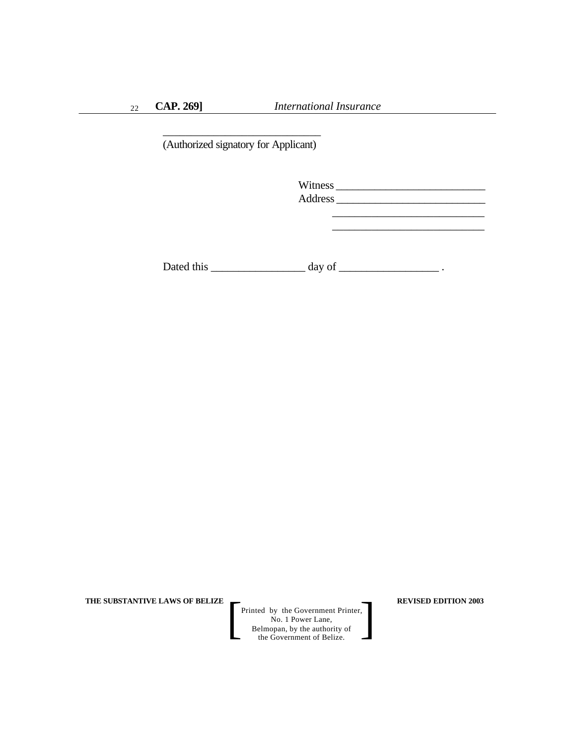\_\_\_\_\_\_\_\_\_\_\_\_\_\_\_\_\_\_\_\_\_\_\_\_\_\_\_\_ (Authorized signatory for Applicant)

> Witness \_\_\_\_\_\_\_\_\_\_\_\_\_\_\_\_\_\_\_\_\_\_\_\_\_\_\_ Address \_\_\_\_\_\_\_\_\_\_\_\_\_\_\_\_\_\_\_\_\_\_\_\_\_\_\_

> > \_\_\_\_\_\_\_\_\_\_\_\_\_\_\_\_\_\_\_\_\_\_\_\_\_\_\_

Dated this \_\_\_\_\_\_\_\_\_\_\_\_\_\_\_\_\_ day of \_\_\_\_\_\_\_\_\_\_\_\_\_\_\_\_\_\_ .

**THE SUBSTANTIVE LAWS OF BELIZE REVISED EDITION 2003**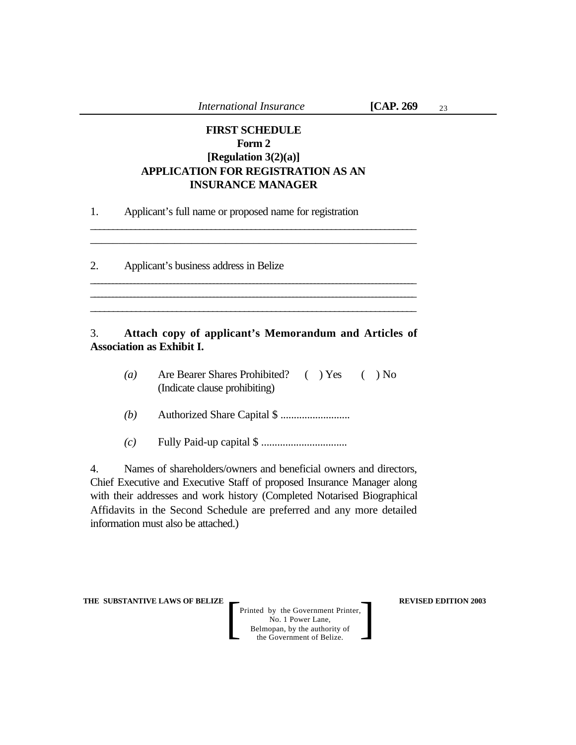# **FIRST SCHEDULE Form 2 [Regulation 3(2)(a)] APPLICATION FOR REGISTRATION AS AN INSURANCE MANAGER**

\_\_\_\_\_\_\_\_\_\_\_\_\_\_\_\_\_\_\_\_\_\_\_\_\_\_\_\_\_\_\_\_\_\_\_\_\_\_\_\_\_\_\_\_\_\_\_\_\_\_\_\_\_\_\_\_\_\_\_\_\_\_\_\_\_\_\_\_\_\_\_\_\_ \_\_\_\_\_\_\_\_\_\_\_\_\_\_\_\_\_\_\_\_\_\_\_\_\_\_\_\_\_\_\_\_\_\_\_\_\_\_\_\_\_\_\_\_\_\_\_\_\_\_\_\_\_\_\_\_\_\_

\_\_\_\_\_\_\_\_\_\_\_\_\_\_\_\_\_\_\_\_\_\_\_\_\_\_\_\_\_\_\_\_\_\_\_\_\_\_\_\_\_\_\_\_\_\_\_\_\_\_\_\_\_\_\_\_\_\_\_\_\_\_\_\_\_\_\_\_\_\_\_\_\_\_\_\_\_\_\_\_\_\_\_\_\_\_\_\_\_\_ \_\_\_\_\_\_\_\_\_\_\_\_\_\_\_\_\_\_\_\_\_\_\_\_\_\_\_\_\_\_\_\_\_\_\_\_\_\_\_\_\_\_\_\_\_\_\_\_\_\_\_\_\_\_\_\_\_\_\_\_\_\_\_\_\_\_\_\_\_\_\_\_\_\_\_\_\_\_\_\_\_\_\_\_\_\_\_\_\_\_ \_\_\_\_\_\_\_\_\_\_\_\_\_\_\_\_\_\_\_\_\_\_\_\_\_\_\_\_\_\_\_\_\_\_\_\_\_\_\_\_\_\_\_\_\_\_\_\_\_\_\_\_\_\_\_\_\_\_\_\_\_\_\_\_\_\_\_\_\_\_\_\_

1. Applicant's full name or proposed name for registration

2. Applicant's business address in Belize

# 3. **Attach copy of applicant's Memorandum and Articles of Association as Exhibit I.**

- *(a)* Are Bearer Shares Prohibited? ( ) Yes ( ) No (Indicate clause prohibiting)
- *(b)* Authorized Share Capital \$ ..........................
- *(c)* Fully Paid-up capital \$ ................................

4. Names of shareholders/owners and beneficial owners and directors, Chief Executive and Executive Staff of proposed Insurance Manager along with their addresses and work history (Completed Notarised Biographical Affidavits in the Second Schedule are preferred and any more detailed information must also be attached.)

**THE SUBSTANTIVE LAWS OF BELIZE REVISED EDITION 2003**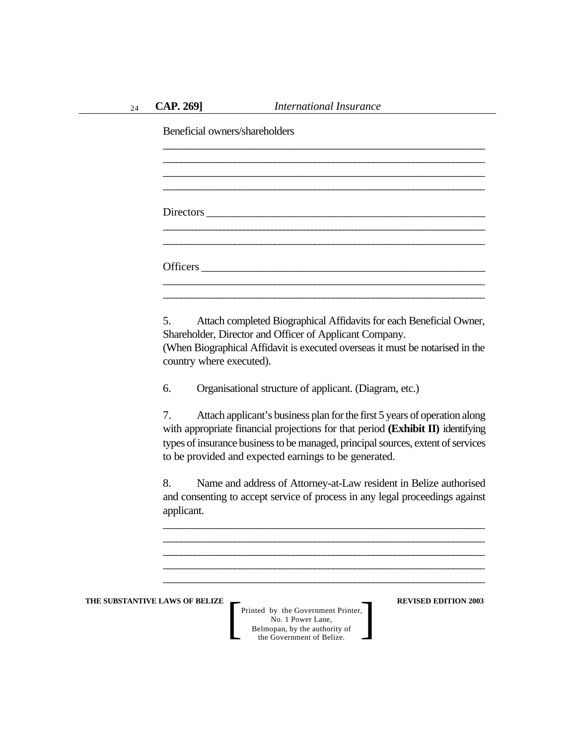Beneficial owners/shareholders

\_\_\_\_\_\_\_\_\_\_\_\_\_\_\_\_\_\_\_\_\_\_\_\_\_\_\_\_\_\_\_\_\_\_\_\_\_\_\_\_\_\_\_\_\_\_\_\_\_\_\_\_\_\_\_\_\_\_\_\_\_\_\_\_\_\_\_\_\_\_\_\_\_\_\_\_\_\_\_\_\_\_\_\_\_\_\_\_\_\_

5. Attach completed Biographical Affidavits for each Beneficial Owner, Shareholder, Director and Officer of Applicant Company.

(When Biographical Affidavit is executed overseas it must be notarised in the country where executed).

6. Organisational structure of applicant. (Diagram, etc.)

7. Attach applicant's business plan for the first 5 years of operation along with appropriate financial projections for that period **(Exhibit II)** identifying types of insurance business to be managed, principal sources, extent of services to be provided and expected earnings to be generated.

8. Name and address of Attorney-at-Law resident in Belize authorised and consenting to accept service of process in any legal proceedings against applicant.

\_\_\_\_\_\_\_\_\_\_\_\_\_\_\_\_\_\_\_\_\_\_\_\_\_\_\_\_\_\_\_\_\_\_\_\_\_\_\_\_\_\_\_\_\_\_\_\_\_\_\_\_\_\_\_\_\_\_\_\_\_\_\_\_\_\_\_\_\_\_\_\_ \_\_\_\_\_\_\_\_\_\_\_\_\_\_\_\_\_\_\_\_\_\_\_\_\_\_\_\_\_\_\_\_\_\_\_\_\_\_\_\_\_\_\_\_\_\_\_\_\_\_\_\_\_\_\_\_\_\_\_\_\_\_\_\_\_\_\_\_\_\_\_\_ \_\_\_\_\_\_\_\_\_\_\_\_\_\_\_\_\_\_\_\_\_\_\_\_\_\_\_\_\_\_\_\_\_\_\_\_\_\_\_\_\_\_\_\_\_\_\_\_\_\_\_\_\_\_\_\_\_\_\_\_\_\_\_\_\_\_\_\_\_\_\_\_ \_\_\_\_\_\_\_\_\_\_\_\_\_\_\_\_\_\_\_\_\_\_\_\_\_\_\_\_\_\_\_\_\_\_\_\_\_\_\_\_\_\_\_\_\_\_\_\_\_\_\_\_\_\_\_\_\_\_\_\_\_\_\_\_\_\_\_\_\_\_\_\_ \_\_\_\_\_\_\_\_\_\_\_\_\_\_\_\_\_\_\_\_\_\_\_\_\_\_\_\_\_\_\_\_\_\_\_\_\_\_\_\_\_\_\_\_\_\_\_\_\_\_\_\_\_\_\_\_\_\_\_\_\_\_\_\_\_\_\_\_\_\_\_\_

**THE SUBSTANTIVE LAWS OF BELIZE REVISED EDITION 2003**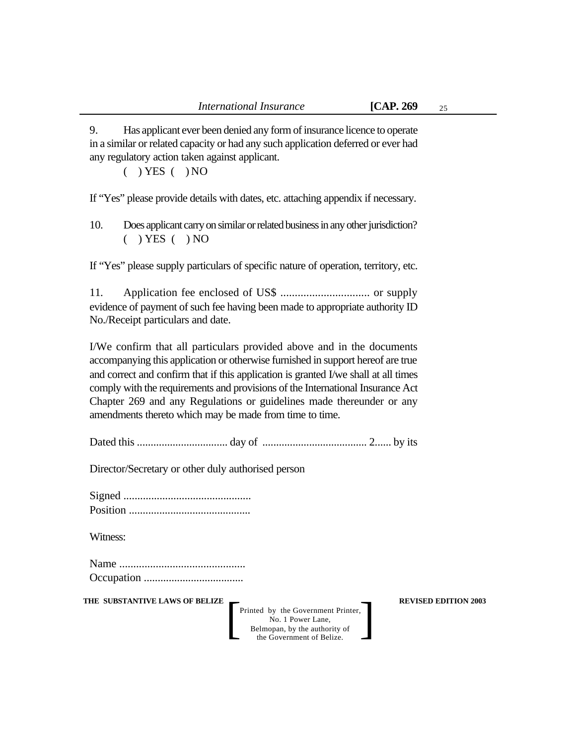9. Has applicant ever been denied any form of insurance licence to operate in a similar or related capacity or had any such application deferred or ever had any regulatory action taken against applicant.

 $( )$  YES  $( )$  NO

If "Yes" please provide details with dates, etc. attaching appendix if necessary.

10. Does applicant carry on similar or related business in any other jurisdiction?  $( )$  YES  $( )$  NO

If "Yes" please supply particulars of specific nature of operation, territory, etc.

11. Application fee enclosed of US\$ ............................... or supply evidence of payment of such fee having been made to appropriate authority ID No./Receipt particulars and date.

I/We confirm that all particulars provided above and in the documents accompanying this application or otherwise furnished in support hereof are true and correct and confirm that if this application is granted I/we shall at all times comply with the requirements and provisions of the International Insurance Act Chapter 269 and any Regulations or guidelines made thereunder or any amendments thereto which may be made from time to time.

Dated this ................................. day of ...................................... 2...... by its

Director/Secretary or other duly authorised person

Witness:

Name ............................................. Occupation ....................................

**THE SUBSTANTIVE LAWS OF BELIZE REVISED EDITION 2003**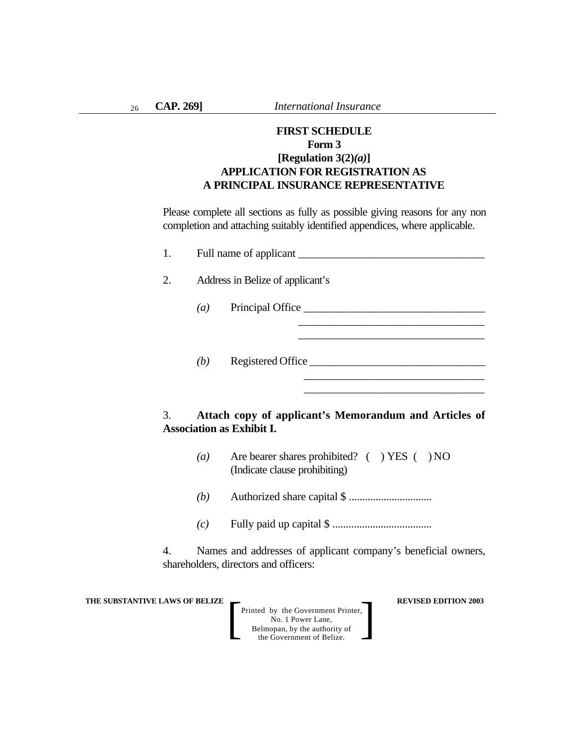# **FIRST SCHEDULE Form 3 [Regulation 3(2)***(a)***] APPLICATION FOR REGISTRATION AS A PRINCIPAL INSURANCE REPRESENTATIVE**

Please complete all sections as fully as possible giving reasons for any non completion and attaching suitably identified appendices, where applicable.

| 1.                   |     |                                                                                                                                                  |  |  |
|----------------------|-----|--------------------------------------------------------------------------------------------------------------------------------------------------|--|--|
| 2.                   |     | Address in Belize of applicant's                                                                                                                 |  |  |
|                      |     | (a) Principal Office                                                                                                                             |  |  |
|                      |     | <u> 1989 - Johann Barn, mars ann an t-Amhair an t-Amhair an t-Amhair an t-Amhair an t-Amhair an t-Amhair an t-Amh</u><br>$(b)$ Registered Office |  |  |
| 3.                   |     | Attach copy of applicant's Memorandum and Articles of<br><b>Association as Exhibit I.</b>                                                        |  |  |
|                      | (a) | Are bearer shares prohibited? () YES () NO<br>(Indicate clause prohibiting)                                                                      |  |  |
|                      |     |                                                                                                                                                  |  |  |
|                      |     |                                                                                                                                                  |  |  |
| $\mathbf{4}_{\cdot}$ |     | Names and addresses of applicant company's beneficial owners,<br>shareholders, directors and officers:                                           |  |  |

**THE SUBSTANTIVE LAWS OF BELIZE REVISED EDITION 2003**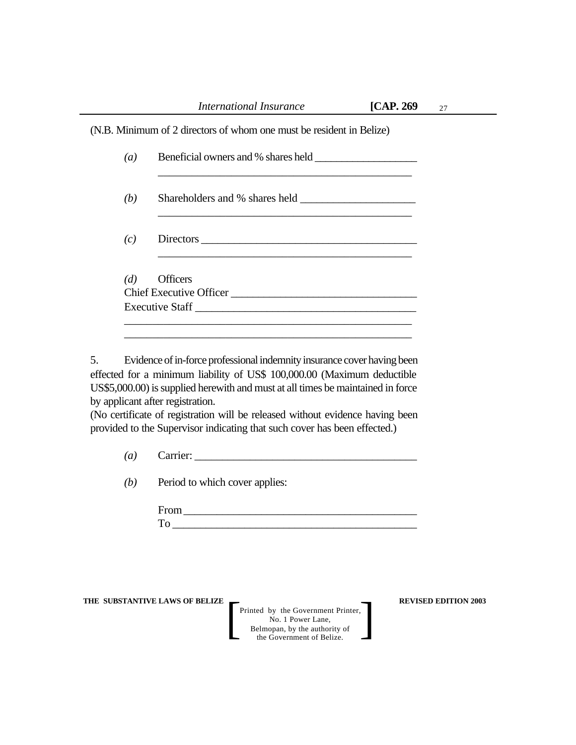(N.B. Minimum of 2 directors of whom one must be resident in Belize)

| $\left(a\right)$ | Beneficial owners and % shares held        |
|------------------|--------------------------------------------|
| (b)              |                                            |
| (c)              |                                            |
| (d)              | <b>Officers</b><br>Chief Executive Officer |
|                  |                                            |

5. Evidence of in-force professional indemnity insurance cover having been effected for a minimum liability of US\$ 100,000.00 (Maximum deductible US\$5,000.00) is supplied herewith and must at all times be maintained in force by applicant after registration.

(No certificate of registration will be released without evidence having been provided to the Supervisor indicating that such cover has been effected.)

 $(a)$  Carrier:

*(b)* Period to which cover applies:

| ᠇<br>.<br>.<br>.<br>ັ |  |
|-----------------------|--|
| m                     |  |

**THE SUBSTANTIVE LAWS OF BELIZE REVISED EDITION 2003**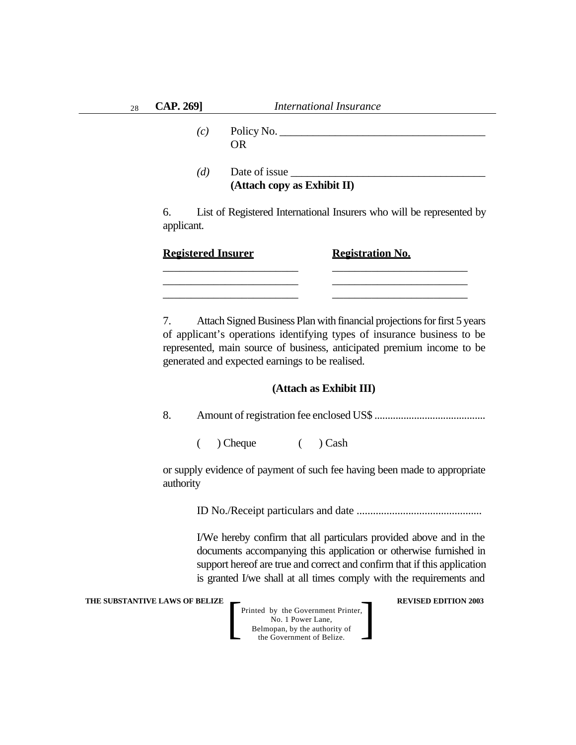| 28 | <b>CAP. 269</b> | International Insurance                            |
|----|-----------------|----------------------------------------------------|
|    | (c)             | Policy No. $\_\_$<br>OR                            |
|    | (d)             | Date of issue _____<br>(Attach copy as Exhibit II) |

6. List of Registered International Insurers who will be represented by applicant.

| <b>Registered Insurer</b> | <b>Registration No.</b> |
|---------------------------|-------------------------|
|                           |                         |

7. Attach Signed Business Plan with financial projections for first 5 years of applicant's operations identifying types of insurance business to be represented, main source of business, anticipated premium income to be generated and expected earnings to be realised.

#### **(Attach as Exhibit III)**

8. Amount of registration fee enclosed US\$ ..........................................

( ) Cheque ( ) Cash

or supply evidence of payment of such fee having been made to appropriate authority

ID No./Receipt particulars and date ..............................................

I/We hereby confirm that all particulars provided above and in the documents accompanying this application or otherwise furnished in support hereof are true and correct and confirm that if this application is granted I/we shall at all times comply with the requirements and

**THE SUBSTANTIVE LAWS OF BELIZE REVISED EDITION 2003**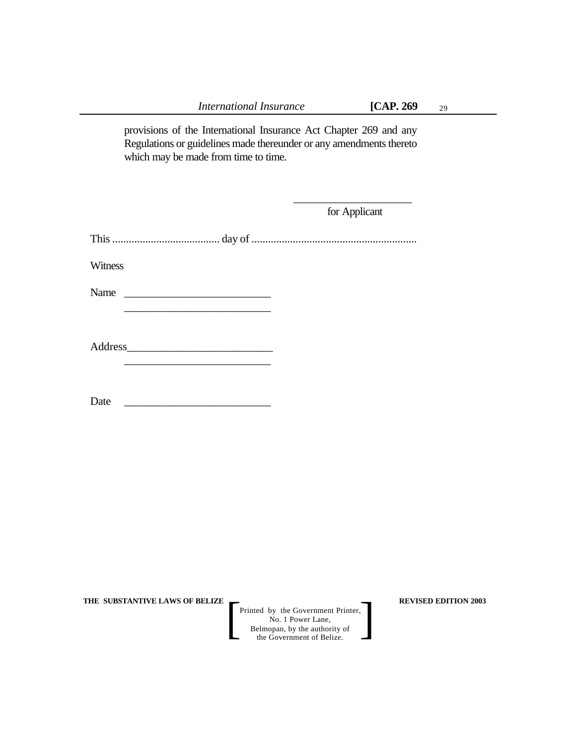| <b>International Insurance</b>                                                                                                                                                                                                               | [CAP. 269]<br>29                                                                                                                                     |  |  |
|----------------------------------------------------------------------------------------------------------------------------------------------------------------------------------------------------------------------------------------------|------------------------------------------------------------------------------------------------------------------------------------------------------|--|--|
| provisions of the International Insurance Act Chapter 269 and any<br>Regulations or guidelines made thereunder or any amendments thereto<br>which may be made from time to time.                                                             |                                                                                                                                                      |  |  |
|                                                                                                                                                                                                                                              | for Applicant                                                                                                                                        |  |  |
|                                                                                                                                                                                                                                              |                                                                                                                                                      |  |  |
| Witness                                                                                                                                                                                                                                      |                                                                                                                                                      |  |  |
| Name                                                                                                                                                                                                                                         |                                                                                                                                                      |  |  |
|                                                                                                                                                                                                                                              |                                                                                                                                                      |  |  |
| Date<br><u> 1989 - Johann John Harry Harry Harry Harry Harry Harry Harry Harry Harry Harry Harry Harry Harry Harry Harry Harry Harry Harry Harry Harry Harry Harry Harry Harry Harry Harry Harry Harry Harry Harry Harry Harry Harry Har</u> |                                                                                                                                                      |  |  |
|                                                                                                                                                                                                                                              |                                                                                                                                                      |  |  |
|                                                                                                                                                                                                                                              |                                                                                                                                                      |  |  |
|                                                                                                                                                                                                                                              |                                                                                                                                                      |  |  |
|                                                                                                                                                                                                                                              |                                                                                                                                                      |  |  |
| THE SUBSTANTIVE LAWS OF BELIZE                                                                                                                                                                                                               | <b>REVISED EDITION 2003</b><br>Printed by the Government Printer,<br>No. 1 Power Lane,<br>Belmopan, by the authority of<br>the Government of Belize. |  |  |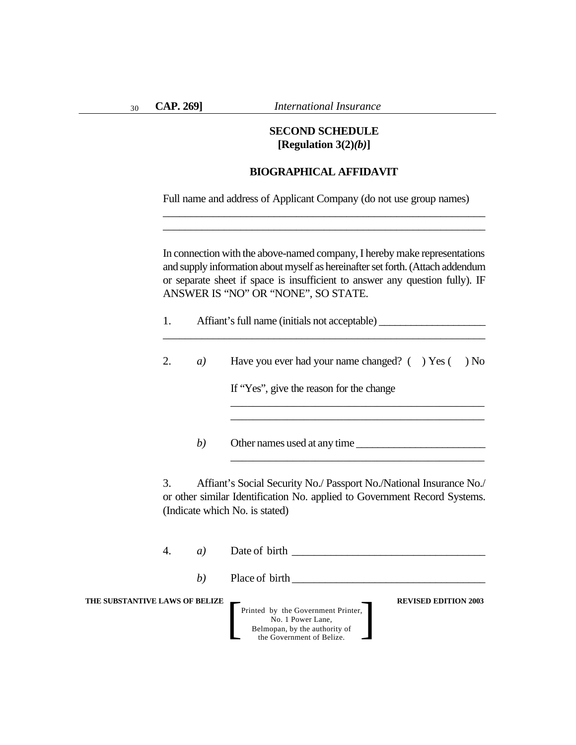**CAP. 269]** *International Insurance*

### **SECOND SCHEDULE [Regulation 3(2)***(b)***]**

#### **BIOGRAPHICAL AFFIDAVIT**

\_\_\_\_\_\_\_\_\_\_\_\_\_\_\_\_\_\_\_\_\_\_\_\_\_\_\_\_\_\_\_\_\_\_\_\_\_\_\_\_\_\_\_\_\_\_\_\_\_\_\_\_\_\_\_\_\_\_ \_\_\_\_\_\_\_\_\_\_\_\_\_\_\_\_\_\_\_\_\_\_\_\_\_\_\_\_\_\_\_\_\_\_\_\_\_\_\_\_\_\_\_\_\_\_\_\_\_\_\_\_\_\_\_\_\_\_

Full name and address of Applicant Company (do not use group names)

In connection with the above-named company, I hereby make representations and supply information about myself as hereinafter set forth. (Attach addendum or separate sheet if space is insufficient to answer any question fully). IF ANSWER IS "NO" OR "NONE", SO STATE.

1. Affiant's full name (initials not acceptable) \_\_\_\_\_\_\_\_\_\_\_\_\_\_\_\_\_\_\_\_\_\_\_\_\_\_\_\_\_\_\_

2. *a)* Have you ever had your name changed? ( ) Yes ( ) No

\_\_\_\_\_\_\_\_\_\_\_\_\_\_\_\_\_\_\_\_\_\_\_\_\_\_\_\_\_\_\_\_\_\_\_\_\_\_\_\_\_\_\_\_\_ \_\_\_\_\_\_\_\_\_\_\_\_\_\_\_\_\_\_\_\_\_\_\_\_\_\_\_\_\_\_\_\_\_\_\_\_\_\_\_\_\_\_\_\_\_

\_\_\_\_\_\_\_\_\_\_\_\_\_\_\_\_\_\_\_\_\_\_\_\_\_\_\_\_\_\_\_\_\_\_\_\_\_\_\_\_\_\_\_\_\_

\_\_\_\_\_\_\_\_\_\_\_\_\_\_\_\_\_\_\_\_\_\_\_\_\_\_\_\_\_\_\_\_\_\_\_\_\_\_\_\_\_\_\_\_\_\_\_\_\_\_\_\_\_\_\_\_\_\_

If "Yes", give the reason for the change

*b)* Other names used at any time \_\_\_\_\_\_\_\_\_\_\_\_\_\_\_\_\_\_\_\_\_\_\_\_

3. Affiant's Social Security No./ Passport No./National Insurance No./ or other similar Identification No. applied to Government Record Systems. (Indicate which No. is stated)

4. *a)* Date of birth \_\_\_\_\_\_\_\_\_\_\_\_\_\_\_\_\_\_\_\_\_\_\_\_\_\_\_\_\_\_\_\_\_\_\_

*b*) Place of birth

**THE SUBSTANTIVE LAWS OF BELIZE REVISED EDITION 2003**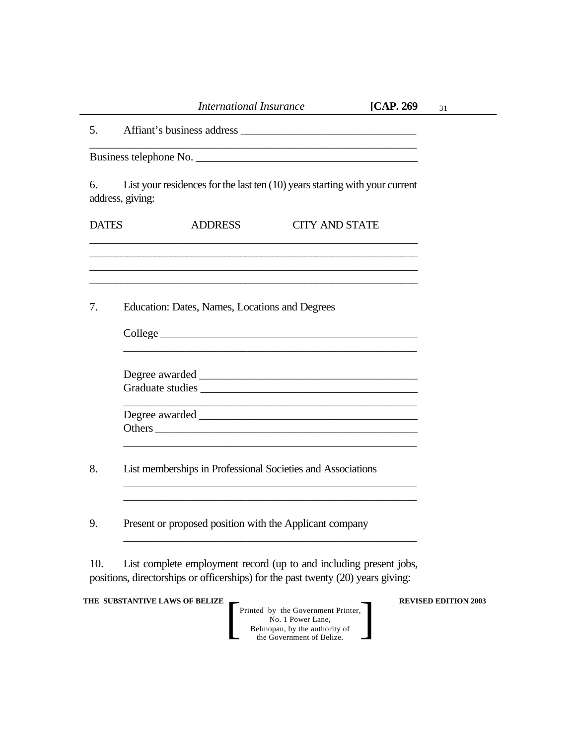|              | [ $CAP. 269$<br><b>International Insurance</b>                                                    |  |  |
|--------------|---------------------------------------------------------------------------------------------------|--|--|
|              |                                                                                                   |  |  |
|              | Business telephone No.                                                                            |  |  |
|              | List your residences for the last ten $(10)$ years starting with your current<br>address, giving: |  |  |
| <b>DATES</b> | <b>ADDRESS</b><br><b>CITY AND STATE</b>                                                           |  |  |
|              |                                                                                                   |  |  |
|              | Education: Dates, Names, Locations and Degrees                                                    |  |  |
|              |                                                                                                   |  |  |
|              |                                                                                                   |  |  |
|              |                                                                                                   |  |  |
|              |                                                                                                   |  |  |
|              | List memberships in Professional Societies and Associations                                       |  |  |
|              | Present or proposed position with the Applicant company                                           |  |  |
| 10.          | List complete employment record (up to and including present jobs,                                |  |  |

positions, directorships or officerships) for the past twenty (20) years giving:

# THE SUBSTANTIVE LAWS OF BELIZE **REVISED EDITION 2003**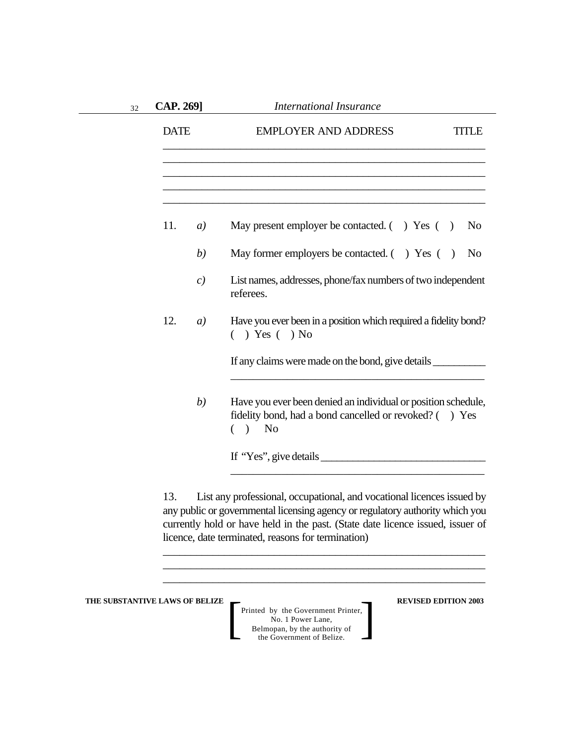| 32 | CAP. 269]   |                   | <b>International Insurance</b>                                                                                                         |
|----|-------------|-------------------|----------------------------------------------------------------------------------------------------------------------------------------|
|    | <b>DATE</b> |                   | <b>EMPLOYER AND ADDRESS</b><br><b>TITLE</b>                                                                                            |
|    |             |                   |                                                                                                                                        |
|    | 11.         | a)                | May present employer be contacted. $( )$ Yes $( )$<br>N <sub>0</sub>                                                                   |
|    |             | (b)               | May former employers be contacted. $($ $)$ Yes $($ $)$<br>N <sub>0</sub>                                                               |
|    |             | c)                | List names, addresses, phone/fax numbers of two independent<br>referees.                                                               |
|    | 12.         | $\left( a\right)$ | Have you ever been in a position which required a fidelity bond?<br>$( )$ Yes $( )$ No                                                 |
|    |             |                   | If any claims were made on the bond, give details                                                                                      |
|    |             | (b)               | Have you ever been denied an individual or position schedule,<br>fidelity bond, had a bond cancelled or revoked? () Yes<br>$($ )<br>No |
|    |             |                   |                                                                                                                                        |

**THE SUBSTANTIVE LAWS OF BELIZE REVISED EDITION 2003** 

Printed by the Government Printer, No. 1 Power Lane, Belmopan, by the authority of Printed by the Government Printer,<br>
No. 1 Power Lane,<br>
Belmopan, by the authority of<br>
the Government of Belize.

\_\_\_\_\_\_\_\_\_\_\_\_\_\_\_\_\_\_\_\_\_\_\_\_\_\_\_\_\_\_\_\_\_\_\_\_\_\_\_\_\_\_\_\_\_\_\_\_\_\_\_\_\_\_\_\_\_\_ \_\_\_\_\_\_\_\_\_\_\_\_\_\_\_\_\_\_\_\_\_\_\_\_\_\_\_\_\_\_\_\_\_\_\_\_\_\_\_\_\_\_\_\_\_\_\_\_\_\_\_\_\_\_\_\_\_\_ \_\_\_\_\_\_\_\_\_\_\_\_\_\_\_\_\_\_\_\_\_\_\_\_\_\_\_\_\_\_\_\_\_\_\_\_\_\_\_\_\_\_\_\_\_\_\_\_\_\_\_\_\_\_\_\_\_\_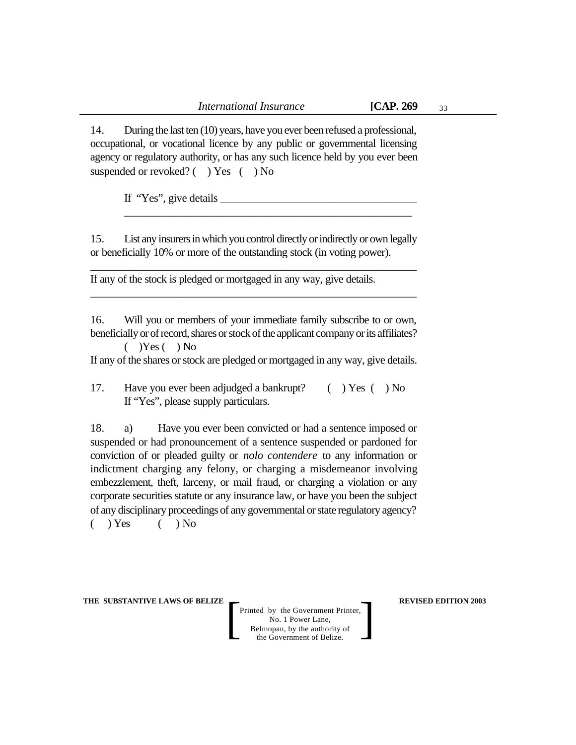14. During the last ten (10) years, have you ever been refused a professional, occupational, or vocational licence by any public or govemmental licensing agency or regulatory authority, or has any such licence held by you ever been suspended or revoked?  $($   $)$  Yes  $($   $)$  No

If "Yes", give details

15. List any insurers in which you control directly or indirectly or own legally or beneficially 10% or more of the outstanding stock (in voting power).

\_\_\_\_\_\_\_\_\_\_\_\_\_\_\_\_\_\_\_\_\_\_\_\_\_\_\_\_\_\_\_\_\_\_\_\_\_\_\_\_\_\_\_\_\_\_\_\_\_\_\_\_\_\_\_\_\_\_

\_\_\_\_\_\_\_\_\_\_\_\_\_\_\_\_\_\_\_\_\_\_\_\_\_\_\_\_\_\_\_\_\_\_\_\_\_\_\_\_\_\_\_\_\_\_\_\_\_\_\_\_\_\_\_\_\_\_

\_\_\_\_\_\_\_\_\_\_\_\_\_\_\_\_\_\_\_\_\_\_\_\_\_\_\_\_\_\_\_\_\_\_\_\_\_\_\_\_\_\_\_\_\_\_\_\_\_\_\_

If any of the stock is pledged or mortgaged in any way, give details.

16. Will you or members of your immediate family subscribe to or own, beneficially or of record, shares or stock of the applicant company or its affiliates?  $(Y$ es  $($   $)$  No

If any of the shares or stock are pledged or mortgaged in any way, give details.

17. Have you ever been adjudged a bankrupt? ( ) Yes ( ) No If "Yes", please supply particulars.

18. a) Have you ever been convicted or had a sentence imposed or suspended or had pronouncement of a sentence suspended or pardoned for conviction of or pleaded guilty or *nolo contendere* to any information or indictment charging any felony, or charging a misdemeanor involving embezzlement, theft, larceny, or mail fraud, or charging a violation or any corporate securities statute or any insurance law, or have you been the subject of any disciplinary proceedings of any governmental or state regulatory agency?  $( )$  Yes  $( )$  No

**THE SUBSTANTIVE LAWS OF BELIZE REVISED EDITION 2003**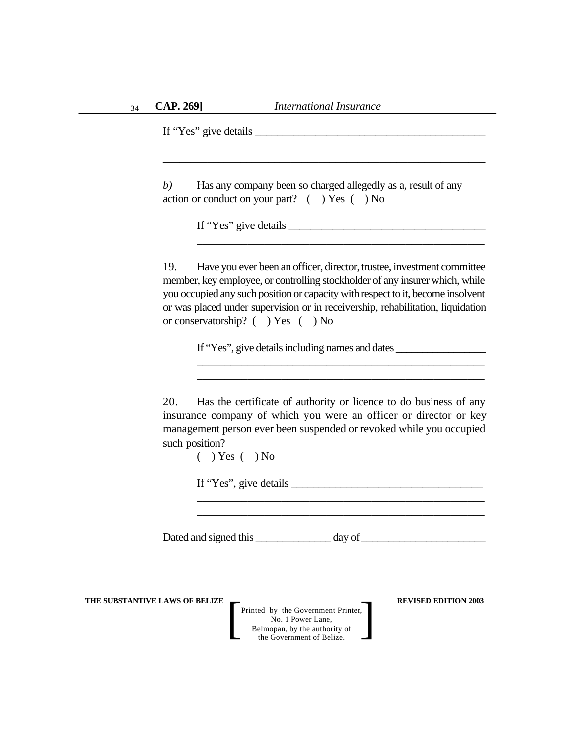\_\_\_\_\_\_\_\_\_\_\_\_\_\_\_\_\_\_\_\_\_\_\_\_\_\_\_\_\_\_\_\_\_\_\_\_\_\_\_\_\_\_\_\_\_\_\_\_\_\_\_\_\_\_\_\_\_\_ \_\_\_\_\_\_\_\_\_\_\_\_\_\_\_\_\_\_\_\_\_\_\_\_\_\_\_\_\_\_\_\_\_\_\_\_\_\_\_\_\_\_\_\_\_\_\_\_\_\_\_\_\_\_\_\_\_\_

If "Yes" give details \_\_\_\_\_\_\_\_\_\_\_\_\_\_\_\_\_\_\_\_\_\_\_\_\_\_\_\_\_\_\_\_\_\_\_\_\_\_\_\_\_\_

*b)* Has any company been so charged allegedly as a, result of any action or conduct on your part?  $( )$  Yes  $( )$  No

If "Yes" give details \_\_\_\_\_\_\_\_\_\_\_\_\_\_\_\_\_\_\_\_\_\_\_\_\_\_\_\_\_\_\_\_\_\_\_\_

19. Have you ever been an officer, director, trustee, investment committee member, key employee, or controlling stockholder of any insurer which, while you occupied any such position or capacity with respect to it, become insolvent or was placed under supervision or in receivership, rehabilitation, liquidation or conservatorship? ( ) Yes ( ) No

\_\_\_\_\_\_\_\_\_\_\_\_\_\_\_\_\_\_\_\_\_\_\_\_\_\_\_\_\_\_\_\_\_\_\_\_\_\_\_\_\_\_\_\_\_\_\_\_\_\_\_

If "Yes", give details including names and dates

20. Has the certificate of authority or licence to do business of any insurance company of which you were an officer or director or key management person ever been suspended or revoked while you occupied such position?

\_\_\_\_\_\_\_\_\_\_\_\_\_\_\_\_\_\_\_\_\_\_\_\_\_\_\_\_\_\_\_\_\_\_\_\_\_\_\_\_\_\_\_\_\_\_\_\_\_\_\_

 $($   $)$  Yes  $($   $)$  No

If "Yes", give details

\_\_\_\_\_\_\_\_\_\_\_\_\_\_\_\_\_\_\_\_\_\_\_\_\_\_\_\_\_\_\_\_\_\_\_\_\_\_\_\_\_\_\_\_\_\_\_\_\_\_\_ \_\_\_\_\_\_\_\_\_\_\_\_\_\_\_\_\_\_\_\_\_\_\_\_\_\_\_\_\_\_\_\_\_\_\_\_\_\_\_\_\_\_\_\_\_\_\_\_\_\_\_

Dated and signed this \_\_\_\_\_\_\_\_\_\_\_\_\_\_ day of \_\_\_\_\_\_\_\_\_\_\_\_\_\_\_\_\_\_\_\_\_\_\_

**THE SUBSTANTIVE LAWS OF BELIZE REVISED EDITION 2003**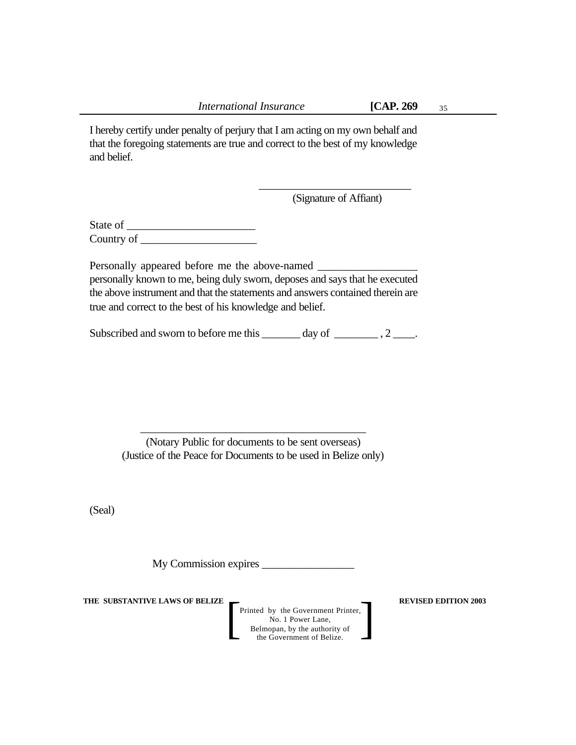I hereby certify under penalty of perjury that I am acting on my own behalf and that the foregoing statements are true and correct to the best of my knowledge and belief.

> \_\_\_\_\_\_\_\_\_\_\_\_\_\_\_\_\_\_\_\_\_\_\_\_\_\_\_ (Signature of Affiant)

State of \_\_\_\_\_\_\_\_\_\_\_\_\_\_\_\_\_\_\_\_\_\_\_ Country of  $\_\_$ 

Personally appeared before me the above-named personally known to me, being duly sworn, deposes and says that he executed the above instrument and that the statements and answers contained therein are true and correct to the best of his knowledge and belief.

Subscribed and sworn to before me this  $\_\_\_\_day$  of  $\_\_\_\_3$ , 2  $\_\_\_\_$ .

(Notary Public for documents to be sent overseas) (Justice of the Peace for Documents to be used in Belize only)

\_\_\_\_\_\_\_\_\_\_\_\_\_\_\_\_\_\_\_\_\_\_\_\_\_\_\_\_\_\_\_\_\_\_\_\_\_\_\_\_

(Seal)

My Commission expires \_\_\_\_\_\_\_\_\_\_\_\_\_\_\_\_\_

**THE SUBSTANTIVE LAWS OF BELIZE REVISED EDITION 2003**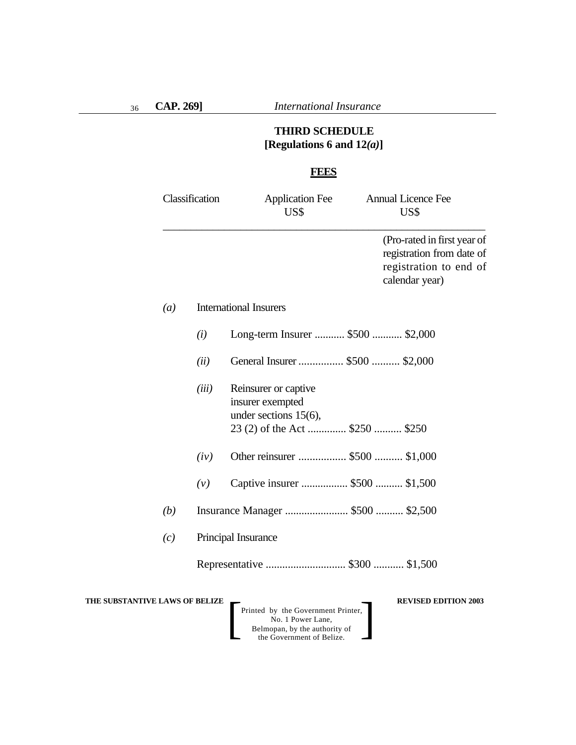# **THIRD SCHEDULE [Regulations 6 and 12***(a)***]**

# **FEES**

| Classification           | <b>Application Fee</b><br>US\$                                                                          | <b>Annual Licence Fee</b><br>US\$                                                                    |
|--------------------------|---------------------------------------------------------------------------------------------------------|------------------------------------------------------------------------------------------------------|
|                          |                                                                                                         | (Pro-rated in first year of<br>registration from date of<br>registration to end of<br>calendar year) |
| $\left(a\right)$         | <b>International Insurers</b>                                                                           |                                                                                                      |
| (i)                      | Long-term Insurer  \$500  \$2,000                                                                       |                                                                                                      |
| (ii)                     | General Insurer  \$500  \$2,000                                                                         |                                                                                                      |
| (iii)                    | Reinsurer or captive<br>insurer exempted<br>under sections $15(6)$ ,<br>23 (2) of the Act  \$250  \$250 |                                                                                                      |
| (iv)                     | Other reinsurer  \$500  \$1,000                                                                         |                                                                                                      |
| (v)                      | Captive insurer  \$500  \$1,500                                                                         |                                                                                                      |
| (b)                      |                                                                                                         |                                                                                                      |
| (c)                      | Principal Insurance                                                                                     |                                                                                                      |
|                          |                                                                                                         |                                                                                                      |
| <b>VE LAWS OF BELIZE</b> |                                                                                                         | <b>REVISED EDITION 2003</b>                                                                          |

**THE SUBSTANTIV**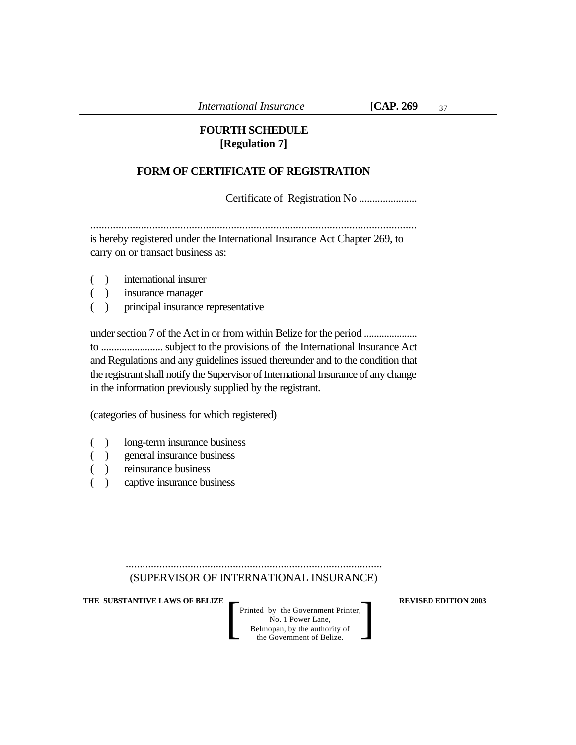# **FOURTH SCHEDULE [Regulation 7]**

## **FORM OF CERTIFICATE OF REGISTRATION**

Certificate of Registration No ......................

....................................................................................................................

is hereby registered under the International Insurance Act Chapter 269, to carry on or transact business as:

- ) international insurer
- (a) insurance manager
- ( ) principal insurance representative

under section 7 of the Act in or from within Belize for the period ..................... to ........................ subject to the provisions of the International Insurance Act and Regulations and any guidelines issued thereunder and to the condition that the registrant shall notify the Supervisor of International Insurance of any change in the information previously supplied by the registrant.

(categories of business for which registered)

- ( ) long-term insurance business
- (a) general insurance business
- ( ) reinsurance business
- ( ) captive insurance business

........................................................................................... (SUPERVISOR OF INTERNATIONAL INSURANCE)

**THE SUBSTANTIVE LAWS OF BELIZE REVISED EDITION 2003**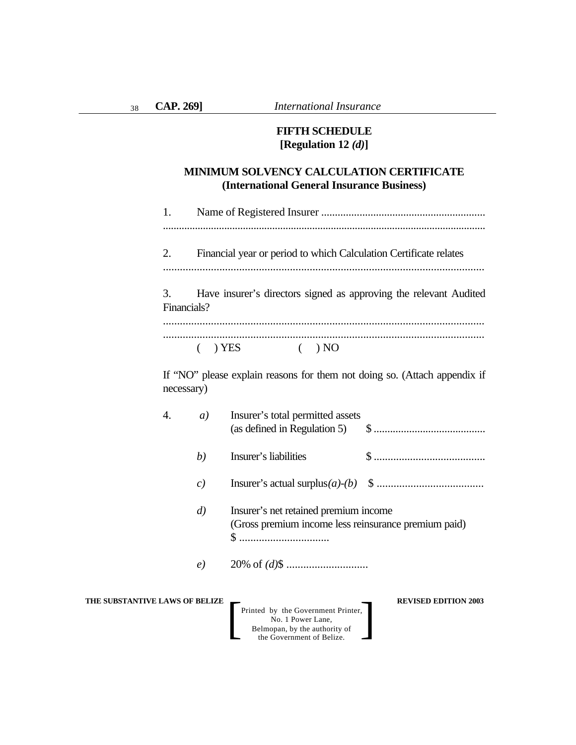# **FIFTH SCHEDULE [Regulation 12** *(d)***]**

# **MINIMUM SOLVENCY CALCULATION CERTIFICATE (International General Insurance Business)**

| 1.                |                                                                   |
|-------------------|-------------------------------------------------------------------|
| 2.                | Financial year or period to which Calculation Certificate relates |
| 3.<br>Financials? | Have insurer's directors signed as approving the relevant Audited |
|                   | 7ES                                                               |

If "NO" please explain reasons for them not doing so. (Attach appendix if necessary)

| 4.                             | a)                | Insurer's total permitted assets                                                                                      |                             |
|--------------------------------|-------------------|-----------------------------------------------------------------------------------------------------------------------|-----------------------------|
|                                | (b)               | Insurer's liabilities                                                                                                 |                             |
|                                | $\mathcal{C}$     |                                                                                                                       |                             |
|                                | $\left( d\right)$ | Insurer's net retained premium income<br>(Gross premium income less reinsurance premium paid)                         |                             |
|                                | e)                |                                                                                                                       |                             |
| THE SUBSTANTIVE LAWS OF BELIZE |                   | Printed by the Government Printer,<br>No. 1 Power Lane,<br>Belmopan, by the authority of<br>the Government of Belize. | <b>REVISED EDITION 2003</b> |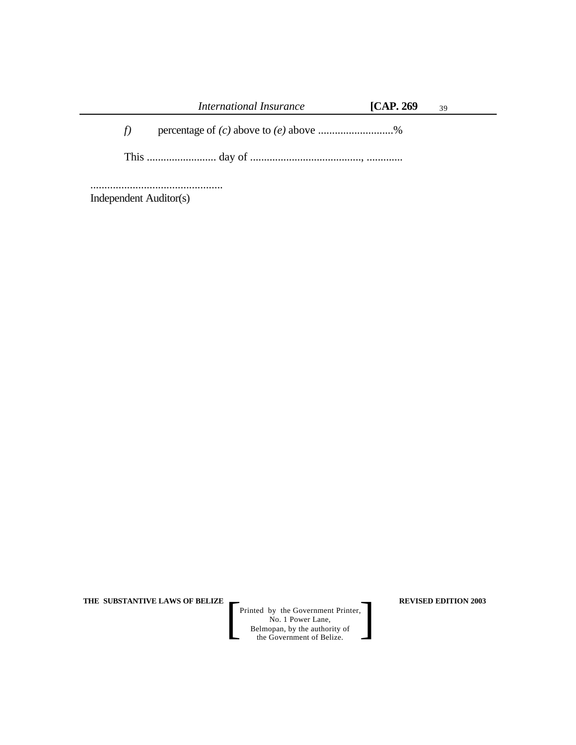|       | International Insurance                    | $\mathsf{ICAP}.269$ | 39 |
|-------|--------------------------------------------|---------------------|----|
| $f$ ) | percentage of $(c)$ above to $(e)$ above % |                     |    |
|       |                                            |                     |    |
|       |                                            |                     |    |

Independent Auditor(s)

**THE SUBSTANTIVE LAWS OF BELIZE**  $\qquad$  **REVISED EDITION 2003**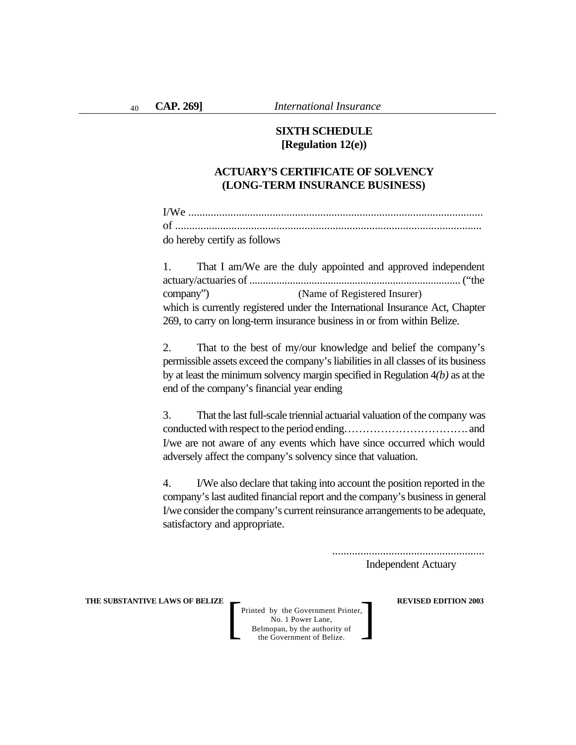# **SIXTH SCHEDULE [Regulation 12(e))**

# **ACTUARY'S CERTIFICATE OF SOLVENCY (LONG-TERM INSURANCE BUSINESS)**

| do hereby certify as follows |  |
|------------------------------|--|

1. That I am/We are the duly appointed and approved independent actuary/actuaries of .............................................................................. ("the company") (Name of Registered Insurer) which is currently registered under the International Insurance Act, Chapter 269, to carry on long-term insurance business in or from within Belize.

2. That to the best of my/our knowledge and belief the company's permissible assets exceed the company's liabilities in all classes of its business by at least the minimum solvency margin specified in Regulation 4*(b)* as at the end of the company's financial year ending

3. That the last full-scale triennial actuarial valuation of the company was conducted with respect to the period ending……………………………. and I/we are not aware of any events which have since occurred which would adversely affect the company's solvency since that valuation.

4. I/We also declare that taking into account the position reported in the company's last audited financial report and the company's business in general I/we consider the company's current reinsurance arrangements to be adequate, satisfactory and appropriate.

> ...................................................... Independent Actuary

**THE SUBSTANTIVE LAWS OF BELIZE REVISED EDITION 2003**